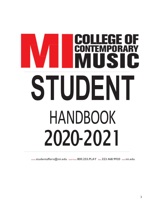# **DLLEGE O<br>NTEMPORAI** F **STUDENT** HANDBOOK 2020-2021

email studentaffairs@mi.edu toll free 800.255.PLAY fax 323.468.9920 web mi.edu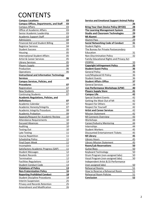# **CONTENTS**

| <b>Campus Locations</b>                                         | 03         |
|-----------------------------------------------------------------|------------|
| <b>Campus Offices, Departments, and Staff</b>                   | 03         |
| <b>Campus Affairs</b>                                           | 03         |
| Office of Academic Affairs                                      | 03         |
| Senior Academic Leadership                                      | 03         |
| <b>Academic Support Staff</b>                                   | 03         |
| Admissions                                                      | 04         |
| <b>Financial Aid and Student Billing</b>                        | 04         |
| <b>Registrar Services</b>                                       | 04         |
| <b>Student Success</b>                                          | 05         |
| Housing                                                         | 05         |
| <b>International Student Affairs</b>                            | 05         |
| <b>Artist &amp; Career Services</b>                             | 05         |
| <b>Library Services</b>                                         | 05         |
| <b>Players Supply</b>                                           | 06         |
| Production                                                      | 06         |
| Operations                                                      | 06         |
| <b>Instructional and Information Technology</b>                 |            |
| <b>Services</b>                                                 | 06         |
| <b>Campus Services, Policies, and</b>                           |            |
| <b>Procedures</b>                                               | 07         |
| Registration                                                    | 07         |
| <b>New Students</b>                                             | 07         |
| <b>Continuing Students</b>                                      | 07         |
| <b>Academic Regulations, Policies, and</b>                      |            |
| <b>Definitions</b>                                              | 07         |
| Academic Calendar                                               | 07         |
| <b>Academic Honesty/Integrity</b>                               | 07         |
| <b>Academic Integrity Procedure</b>                             | 08         |
| Academic Probation                                              | 09         |
| <b>Appeals/Request for Academic Review</b>                      | 10         |
| <b>Attendance Requirements</b>                                  | 10         |
| <b>Excused Absences</b>                                         | 10         |
| Auditing                                                        | 10         |
| <b>Testing Out</b>                                              | 10         |
| Late Testing                                                    | <u> 11</u> |
| Course Repetition                                               | 11         |
| <b>Scheduling Policy</b>                                        | <u> 11</u> |
| Final Exam Week                                                 | 11         |
| Incomplete                                                      | 11         |
| Satisfactory Academic Progress (SAP)                            | 11         |
| <b>Student Messages</b>                                         | 12         |
| <b>Student Records</b>                                          | 12         |
| Termination                                                     | 12         |
| <b>Facilities Regulations</b>                                   | <u>13</u>  |
| <b>Student Conduct Code</b>                                     | <u>13</u>  |
|                                                                 | 13         |
| <b>Violations of Policy</b><br><b>Non-Fraternization Policy</b> | <u>16</u>  |
|                                                                 |            |
| <b>Reporting Prohibited Conduct</b>                             | <u>18</u>  |
| <b>Student Discipline Procedures</b>                            | 18         |
| <b>Interim Suspension</b>                                       | 25         |
| <b>Privacy and Records Retention</b>                            | 25         |
| Amendment and Modification                                      | 26         |

| <b>Service and Emotional Support Animal Policy</b> |           |
|----------------------------------------------------|-----------|
|                                                    | 26        |
| <b>Bring Your Own Device Policy (BYOD)</b>         | 28        |
| The Learning Management System                     | 29        |
| <b>Studio and Classroom Technologies</b>           | 29        |
| MI Alumni                                          | 29        |
| Alumni Pass                                        | 29        |
| <b>Social Networking Code of Conduct</b>           | 31        |
| <b>Student Rights</b>                              | 31        |
| The Bureau for Private Postsecondary               |           |
| Education                                          | 31        |
| Non-Discrimination Policy                          | 32        |
| <b>Family Educational Rights and Privacy Act</b>   |           |
| (FERPA)                                            | 33        |
| <b>Copyright Infringement Policy</b>               | 35        |
| <b>Student Guest Policy</b>                        | 36        |
| <b>General Policy</b>                              | 36        |
| Lost/Misplaced ID Policy                           | 36        |
| <b>Student Guests</b>                              | 36        |
| <b>Student Affairs Office</b>                      | 37        |
| <b>General Services</b>                            | 38        |
| Live Performance Workshops (LPW)                   | 40        |
| <b>Players Supply Store</b>                        | 41        |
| <b>Campus Life</b>                                 | 42        |
| <b>Special Student Events</b>                      | 42        |
| <b>Getting the Most Out of MI</b>                  | 42        |
| <b>Respect for Others</b>                          | 42        |
| <b>Respect for Yourself</b>                        | 42        |
| <b>Artist and Career Services</b>                  | 42        |
| <b>Mission Statement</b>                           | 42        |
| <b>MI Connects Overview</b>                        | 43        |
| <b>Workshops</b>                                   | 44        |
| Career/Industry Mentoring                          | 44        |
| <b>Internships</b>                                 | 44        |
| <b>Student Workers</b>                             | 45        |
| <b>Discounted Entertainment Tickets</b>            | 45        |
| <b>MI Library</b>                                  | 45        |
| <b>Library Hours</b>                               | 45        |
| <b>Library Mission Statement</b>                   | 45        |
| <b>Room/Lab Reservations</b>                       | 50        |
| Guitar/Bass                                        | 50        |
| <b>Keyboard Technology</b>                         | 50        |
| Drum Program (non-assigned labs)                   | 50        |
| Vocal Program (non-assigned labs)                  | <u>50</u> |
| Independent Artist & DJ Performance                |           |
| (non-assigned labs)                                | 50        |
| <b>Rehearsal Rooms</b>                             | 51        |
| How to Reserve a Rehearsal Room                    | 51        |
| <b>Rehearsal Room Policies</b>                     | 51        |
| <b>Conclusion</b>                                  | 52        |
|                                                    |           |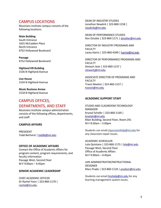## CAMPUS LOCATIONS

Musicians Institute campus consists of the following locations:

#### **Main Building**

South Entrance 1655 McCadden Place North Entrance 6752 Hollywood Boulevard

**Passage** 6752 Hollywood Boulevard

**Highland HR Building** 1536 N Highland Avenue

**Live House** 1534 N Highland Avenue

**Music Business Annex** 1518 N Highland Avenue

## CAMPUS OFFICES, DEPARTMENTS, AND STAFF

Musicians Institute campus administration consists of the following offices, departments, and staff:

#### **CAMPUS AFFAIRS**

PRESIDENT Todd Berhorst | toddb@mi.edu

#### **OFFICE OF ACADEMIC AFFAIRS**

Contact the Office of Academic Affairs for program content, program requirements, and faculty information Passage West, Second Floor M-F 9:00am – 4:45pm

#### **SENIOR ACADEMIC LEADERSHIP**

CHIEF ACADEMIC OFFICER Dr Rachel Yoon | 323-860-1170 | rachel@mi.edu

DEAN OF INDUSTRY STUDIES Jonathan Newkirk | 323-860-1158 | newkirkj@mi.edu

DEAN OF PERFORMANCE STUDIES Ron Dziubla | 323-860-1171 | dziublar@mi.edu

DIRECTOR OF INDUSTRY PROGRAMS AND FACULTY Lacey Harris | 323-860-4349 | harrisl@mi.edu

DIRECTOR OF PERFORMANCE PROGRAMS AND **FACULTY** Stewart Jean | 323-860-1157 | stewartj@mi.edu

ASSOCIATE DIRECTOR OF PROGRAMS AND FACULTY Travis Newlon | 323-860-1157 | travisn@mi.edu

#### **ACADEMIC SUPPORT STAFF**

STUDIO AND CLASSROOM TECHNOLOGY MANAGER Krystal Schafer | 323-860-1169 | krystals@mi.edu Main Building, Second Floor, Room 291 M-F 8:30am – 5:00pm

Students can email classroomhelp@mi.edu for any classroom repair issues.

ACADEMIC SCHEDULER Lola Quintana | 323-860-1175 | lola@mi.edu Passage West, Second Floor Office of Academic Affairs M-F 9:00am – 4:45pm

LMS ADMINISTRATOR/INSTRUCTIONAL **DESIGNER** Marc Prado | 323-860-1118 | pradom@mi.edu

Students can email *Imshelp@mi.edu* for any learning management system issues.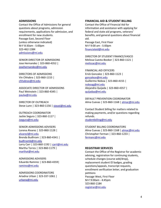#### **ADMISSIONS**

Contact the Office of Admissions for general questions about programs, admission requirements, applications for admission, and enrollment for new students. Passage East, Second Floor (unless otherwise indicated) M-F 8:30am - 5:00pm 323-462-1384 admissions@mi.edu

SENIOR DIRECTOR OF ADMISSIONS Jose Hernandez | 323-860-4352 | josehernandez@mi.edu

DIRECTORS OF ADMISSIONS Vin Chhabra | 323-860-1153 | chhabrav@mi.edu

ASSOCIATE DIRECTOR OF ADMISSIONS Paul Weinstein | 323-860-4345 | paulw@mi.edu

DIRECTOR OF OUTREACH Steve Lunn | 323-860-1156 | stevel@mi.edu

OUTREACH COORDINATOR Jackie Segura | 323-860-1117 | Jsegura@mi.edu

SENIOR ADMISSIONS ADVISERS Lorena Alvarez | 323-860-1128 | alvarezl@mi.edu Brenda Budhram | 323-860-4341 | budhramb@mi.edu Larry Carr | 323-860-1192 | carrl@mi.edu Martha Torres | 323-860-1179 | marthat@mi.edu

ADMISSIONS ADVISERS Eduardo Ramirez | 323-860-4359| ramirez@mi.edu

ADMISSIONS COORDINATORS Ariadna Urban | 323-337-1061 | urbana@mi.edu

#### **FINANCIAL AID & STUDENT BILLING**

Contact the Office of Financial Aid for information and assistance with applying for federal and state aid programs, veterans' benefits, and general questions about financial aid.

Passage East, First Floor M-F 9:00 am - 5:00pm financialaid@mi.edu

DIRECTOR OF STUDENT FINANCE/VASCO Melissa Cuesta-Booker | 323-860-1121 | melissac@mi.edu

FINANCIAL AID OFFICERS Erick Gonzalez | 323-860-1123 | gonzaleze@mi.edu Guillermo Noboa | 323-860-4155 | noboag@mi.edu Alejandra Quijada | 323-860-4357 | quijadaa@mi.edu

DEFAULT PREVENTION COORDINATOR Alma Cuevas | 323-860-1168 | almac@mi.edu

Contact Student billing for matters related to making payments, and/or questions regarding refunds. studentbilling@mi.edu

STUDENT BILLING COORDINATORS Alma Cuevas | 323-860-1168 | almac@mi.edu Christopher Ferman | 323-860-1233 | fermanc@mi.edu

#### **REGISTRAR SERVICES**

Contact the Office of the Registrar for academic advising, registration for continuing students, schedule changes (course add/drop), replacement student ID badges, grading questions/appeals, transcript requests, enrollment verification letter, and graduation petitions Passage West, First Floor M-F 9:00am - 4:45pm 323-860-1184 registrar@mi.edu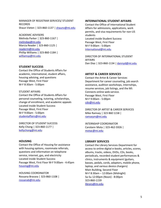#### MANAGER OF REGISTRAR SERVICES/ STUDENT RECORDS Shaun Vieten | 323-860-1137 | shaunv@mi.edu

ACADEMIC ADVISERS Melinda Parker | 323-860-1167 | melindap@mi.edu Marcia Reader | 323-860-1125 | readerm@mi.edu Phillip Williams | 323-860-1184 | williamsp@mi.edu

#### **STUDENT SUCCESS**

Contact the Office of Students Affairs for academic, international, student affairs, housing advising, and questions Passage West, First Floor M-F 8:30am - 5:00pm

#### STUDENT AFFAIRS

Contact the Office of Students Affairs for personal counseling, tutoring, scholarships, change of enrollment, and academic appeals Located inside Student Success Passage West, First Floor M-F 9:00am - 5:00pm studentaffairs@mi.edu

DIRECTOR OF STUDENT SUCCESS Kelly Chong | 323-860-1177 | kellychong@mi.edu

#### **HOUSING**

Contact the Office of Housing for assistance with housing options, roommate referrals, questions and information on telephone service, internet, gas, and electricity Located inside Student Success Passage West, First Floor M-F 9:00am - 4:45pm housing@mi.edu

HOUSING COORDINATOR Rossana Brassea | 323-860-1108 | rossanab@mi.edu

#### **INTERNATIONAL STUDENT AFFAIRS**

Contact the Office of International Student Affairs for admissions, applications, work permits, and visa requirements for non-US students Located inside Student Success Passage West, First Floor M-F 9:00am - 5:00pm international@mi.edu

DIRECTOR OF INTERNATIONAL STUDENT AFFAIRS Dan Diaz | 323-860-1134 | dannyd@mi.edu

#### **ARTIST & CAREER SERVICES**

Contact the Artist & Career Services Department for career counseling, job search assistance, audition workshops, internships, resume services, job listings, and the MI: Connects online web-service. Passage West, First Floor M-F 9:00am - 5:00pm cdo@mi.edu

DIRECTOR OF ARTIST & CAREER SERVICES Mike Ramsey | 323 860 1158 | ramseym@mi.edu

INTERNSHIP COORDINATOR Carolann Mota | 323-462-5926 | motac@mi.edu

#### **LIBRARY SERVICES**

Contact the Library Services Department for access to online digital e-books, articles, scores, albums, tracks, videos, DVDs, CDs, books, periodicals, recorded student performances & clinics, instruments & equipment (guitars, basses, pedals, cords, adaptors, mobile phone, laptop, and various device chargers) Main Building, Second Floor M-F 8:30am – 12:00am (Midnight) Sa-Su 12:00pm (Noon) - 8:00pm 323-860-1159 library@mi.edu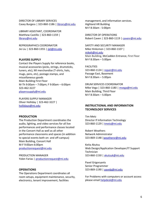DIRECTOR OF LIBRARY SERVICES Casey Burgess | 323-860-1186 | library@mi.edu

LIBRARY ASSISTANT, COORDINATOR Matthew Castillo | 323-860-1159 | library@mi.edu

REPROGRAPHICS COORDINATOR Jie Liu | 323-860-1355 | jiel@mi.edu

#### **PLAYERS SUPPLY**

Contact the Players Supply for reference books, musical accessories (picks, strings, drumsticks, tuners, etc), MI merchandise (T-shirts, hats, mugs, pens, etc), postage stamps, and miscellaneous goods Main Building First Floor M-Th 9:00am – 7:00pm; F 9:00am – 6:00pm 323-462-3227 playerssupply@mi.edu

PLAYERS SUPPLY MANAGER Oliver Holliday | 323-462-3227 | hollidayo@mi.edu

#### **PRODUCTION**

The Production Department coordinates the audio, lighting, and video services for all live performances and performance classes located in the Concert Hall as well as all other performance classrooms and spaces (in addition to special events both on- and off-campus) Main Building, Concert Hall M-F 9:00am-6:00pm productionrequest@mi.edu

PRODUCTION MANAGER Yolen Farias | productionrequest@mi.edu

#### **OPERATIONS**

The Operations Department coordinates all room setups, equipment maintenance, security, electronics, tenant improvement, facilities

management, and information services. Highland HR Building M-F 8:30am - 5:00pm

DIRECTOR OF OPERATIONS Robert Caven | 323-860-1119 | cavenr@mi.edu

#### SAFETY AND SECURITY MANAGER Mike Hinksmon | 323-860-1107 |

mikeh@mi.edu Main Building, McCadden Entrance, First Floor M-F 8:30am – 5:00pm

#### FACILITIES

323-860-1124 | repair@mi.edu Passage East, Basement M-F 8:30am – 5:00pm

DRUM SERVICES COORDINATOR Mike Vega | 323-860-1180 | mvega@mi.edu Main Building, Third Floor M-F 8:30am – 5:00pm

#### **INSTRUCTIONAL AND INFORMATION TECHNOLOGY SERVICES**

Tim Metz Director If Information Technology 323-860-1129 | tmetz@mi.edu

Robert Weathers Network Administrator 323-869-1148 |weathersr@mi.edu

Keita Akutsu Web Design/Application Developer/IT Support Technician 323-860-1150 | akutsuk@mi.edu

Pavel Grigoryants Senior Programmer 323-869-1190 | pavelg@mi.edu

For Problems with computers or account access please email helpdesk@mi.edu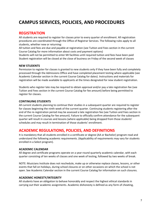# **CAMPUS SERVICES, POLICIES, AND PROCEDURES**

## **REGISTRATION**

All students are required to register for classes prior to every quarter of enrollment. All registration procedures are coordinated through the Office of Registrar Services. The following rules apply to all students, whether new or returning:

All tuition and fees are due and payable at registration (see Tuition and Fees section in the current Course Catalog for more information about costs and payment options)

Students will not be permitted to enter MI facilities until required tuition and fees have been paid Student registration will be closed at the close of business on Friday of the second week of classes

#### **NEW STUDENTS**

Permission to register for classes is granted to new students only if they have been fully and completely processed through the Admissions Office and have completed placement testing where applicable (see Academic Calendar section in the current Course Catalog for dates). Instructions and materials for registration will be made available to applicants at the times designated for new student registration.

Students who register late may be required to obtain approval and/or pay a late registration fee (see Tuition and Fees section in the current Course Catalog for fee amount) before being permitted to register for classes.

#### **CONTINUING STUDENTS**

All current students planning to continue their studies in a subsequent quarter are required to register for classes beginning the ninth week of the current quarter. Continuing students registering after the end of the re-registration period may be assessed a late registration fee (see Tuition and Fees section in the current Course Catalog for fee amount). Failure to officially confirm attendance for the subsequent quarter will result in courses and lessons (where applicable) being dropped from those students' schedules and may result in termination of those students' enrollment.

## **ACADEMIC REGULATIONS, POLICIES, AND DEFINITIONS**

It is mandatory that all students enrolled in a certificate or degree (AA or Bachelor) program read and understand the following academic requirements. (Applicability of requirements may vary for students enrolled in a Select program).

#### **ACADEMIC CALENDAR**

All degree and certificate programs operate on a year-round quarterly academic calendar, with each quarter consisting of ten weeks of classes and one week of testing, followed by two weeks of break.

NOTE: Musicians Institute does not reschedule, make up or otherwise replace classes, lessons, or other events that fall on holidays, during school closures or on other occasions on which the school is not open. See Academic Calendar section in the current Course Catalog for information on such closures.

#### **ACADEMIC HONESTY/INTEGRITY**

All students have an obligation to behave honorably and respect the highest ethical standards in carrying out their academic assignments. Academic dishonesty is defined as any form of cheating,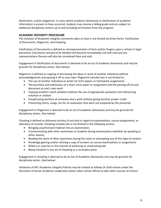falsification, and/or plagiarism. In cases where academic dishonesty or falsification of academic information is proven to have occurred, students may receive a failing grade and are subject to additional disciplinary actions up to and including termination from the program.

#### **ACADEMIC INTEGRITY PROCEDURE**

The violation of Academic Integrity commonly takes on (but is not limited to) three forms: Falsification of Documents, Plagiarism, and Cheating

Falsification of Documents is defined as misrepresentation of facts and/or forgery upon a school or legal document. Documents proved to be falsified will become immediately null and void and any representations thereon will also be considered false and void.

Engagement in falsification of documents is deemed to be an act of academic dishonesty and may be grounds for disciplinary action. (See below)

Plagiarism is defined as copying or borrowing the ideas or work of another individual without acknowledgement and passing it off as your own. Plagiarism includes but is not limited to:

- The use of another individual as writer for term papers or homework assignments
- The purchase and submission of a chart, term paper or assignment and the passing off of such document as one's own work
- Copying another's work verbatim without the use of appropriate quotation and referencing notation or citation
- Paraphrasing portions of someone else's work without giving him/her proper credit
- Presenting charts, songs, etc for an evaluation that were not prepared by the presenter

Engagement in Plagiarism is deemed to be an act of academic dishonesty and may be grounds for disciplinary action. (See below)

Cheating is defined as dishonest activity of any kind in regard to examinations, course assignments, or alteration of records. Cheating includes but is not limited to the following actions:

- Bringing unauthorized material into an examination,
- Communicating with other examinees or students during examinations (whether by speaking or other means),
- Reading the work of other examinees during the exam or attempting any of this type of conduct
- Knowingly gaining and/or utilizing a copy of answers to course examinations or assignments
- Bribery or coercion in the interest of achieving an unearned grade
- Being complicit in any act of cheating as a secondary party

Engagement in cheating is deemed to be an Act of Academic Dishonesty and may be grounds for disciplinary action. (See below)

Violations of MI's Academic Integrity Policies may be treated as follows (It shall remain under the discretion of Senior Academic Leadership and/or other school official to take other courses of action):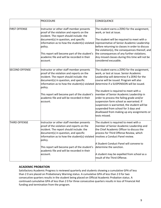|                       | PROCEDURE                                                                                                                                                                                                                                                                | <b>CONSEQUENCE</b>                                                                                                                                                                                                                                                                       |
|-----------------------|--------------------------------------------------------------------------------------------------------------------------------------------------------------------------------------------------------------------------------------------------------------------------|------------------------------------------------------------------------------------------------------------------------------------------------------------------------------------------------------------------------------------------------------------------------------------------|
| <b>FIRST OFFENSE</b>  | Instructor or other staff member presents<br>proof of the violation and reports on the<br>incident. The report should include: the<br>document(s) in question, and specific<br>information as to how the student(s) violated<br>policy.                                  | The student earns a ZERO for the assignment,<br>work, or test at issue.<br>The student will be required to meet with a<br>representative of Senior Academic Leadership<br>before returning to classes in order to discuss<br>the violation(s), the consequences thereof, and             |
|                       | This report will become part of the student's<br>academic file and will be recorded in their<br>account.                                                                                                                                                                 | the consequences of any further violations.<br>Any missed classes during this time will not be<br>considered excusable.                                                                                                                                                                  |
| <b>SECOND OFFENSE</b> | Instructor or other staff member presents<br>proof of the violation and reports on the<br>incident. The report should include: the<br>document(s) in question, and specific<br>information as to how the student(s) violated<br>policy.                                  | The student earns a ZERO for the assignment,<br>work, or test at issue. Senior Academic<br>Leadership will determine if a ZERO for the<br>course will be issued. Program will also<br>determine if a SUSPENSION will be issued.<br>The student is required to meet with a                |
|                       | This report will become part of the student's<br>academic file and will be recorded in their<br>account.                                                                                                                                                                 | member of Senior Academic Leadership in<br>order to process the failing grade and/or<br>suspension form school as warranted. If<br>suspension is warranted, the student will be<br>suspended from school for 3 days and<br>disallowed from making up any assignments or<br>tests missed. |
| THIRD OFFENSE         | Instructor or other staff member presents<br>proof of the violation and reports on the<br>incident. The report should include: the<br>document(s) in question, and specific<br>information as to how the student(s) violated involves a Conduct Panel review.<br>policy. | The student is required to meet with a<br>member of Senior Academic Leadership and<br>the Chief Academic Officer to discuss the<br>process for Third Offense Review, which                                                                                                               |
|                       | This report will become part of the student's<br>academic file and will be recorded in their<br>account.                                                                                                                                                                 | A Student Conduct Panel will convene to<br>determine the sanction.<br>A student may be expelled from school as a<br>result of the Third Offense.                                                                                                                                         |

#### **ACADEMIC PROBATION**

Satisfactory Academic Progress is reviewed quarterly and students showing a cumulative GPA of less than 2 0 are placed on Probationary Warning status. A cumulative GPA of less than 2 0 for two consecutive quarters results in the student being placed on Official Academic Probation status. A continued cumulative GPA of less than 2 0 for three consecutive quarters results in loss of Financial Aid funding and termination from the program.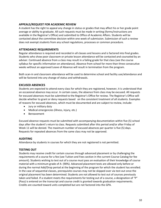#### **APPEALS/REQUEST FOR ACADEMIC REVIEW**

A student has the right to appeal any change in status or grades that may affect his or her grade point average or ability to graduate. All such requests must be made in writing (forms/instructions are available in the Registrar's Office) and submitted to Office of Academic Affairs. Students will be contacted about the committee decision within one week of submission. Submission of such a review does not exempt students from any school regulations, processes or common procedure.

#### **ATTENDANCE REQUIREMENTS**

Regular attendance is required and recorded in all classes and lessons and is factored into final grades. Students who show poor classroom or private lesson attendance will be contacted and counseled by an adviser. Continued absence from a class may result in a failing grade for that class (see the course syllabus for specific information on attendance). Absence from school for more than three consecutive weeks without an approved Leave of Absence will result in termination from the program.

Both scan-in and classroom attendance will be used to determine school and facility use/attendance and will be factored into any change of status and withdrawals.

#### **EXCUSED ABSENCES**

Students are expected to attend every class for which they are registered, however, it is understood that an occasional absence may occur. In certain cases, the absence from class may be excused. All requests for excused absences must be submitted to the Registrar's Office for review. The Registrar's Office will decide whether to grant or deny requests based on the consistent treatment of all students. Examples of reasons for excused absences, which must be documented and are subject to review, include:

- Jury or military duty
- Medical emergencies (illness, injury, etc.)
- Bereavement

Excused absence requests must be submitted with accompanying documentation within five (5) school days after the student's return to class. Requests submitted after this period and/or after Friday of Week 11 will be denied. The maximum number of excused absences per quarter is five (5) days. Requests for repeated absences from the same class may not be approved.

#### **AUDITING**

Attendance by students in courses for which they are not registered is not permitted.

#### **TESTING OUT**

Students may receive credit for certain courses through advanced placement or by challenging the requirements of a course for a fee (see Tuition and Fees section in the current Course Catalog for fee amount). Students wishing to test out of a course must pass an evaluation of their knowledge of course material with a minimum grade of A- (90%). Advanced placement tests are allowed only before or during the normal Add/Drop period at the beginning of the program for which the student has enrolled. In the case of sequential classes, prerequisite courses may not be skipped over via test-out once the original placement has been determined. Students are not allowed to test out of courses previously taken and failed. If a student meets the requirements for testing out of a course, a designation of "P" (Pass) is entered on the transcript and course credit is granted towards graduation requirements. Credits are counted toward units completed but are not factored into the GPA.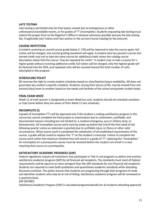#### **LATE TESTING**

Late testing is permitted only for final exams missed due to emergencies or other unforeseen/unavoidable events, or for grades of "I" (Incomplete). Students requesting late testing must submit the proper form to the Registrar's Office in advance whenever possible and pay the late testing fee, if applicable (see Tuition and Fees section in the current Course Catalog for fee amount).

#### **COURSE REPETITION**

A student receiving an overall course grade below C- (70) will be required to take the course again; full tuition will be charged, and normal grading standards will apply. A student who has passed a course and earned credit may not re-take the same course for additional credit unless the catalog course description states that the course "may be repeated for credit." A student may re-take a course for a higher grade without receiving additional credit; full tuition will be charged, only the highest grade will be factored into the GPA, and repeated units will be counted toward the total number of units attempted in the program.

#### **SCHEDULING POLICY**

MI reserves the right to create student schedules based on class/teacher/space availability. MI does not guarantee any student a specific schedule. Students, during their tenure at MI, may be moved from one section/class/room to another based on the needs and facilities of the school and greater student body.

#### **FINAL EXAM WEEK**

Week 11 of each quarter is designated as Exam Week (as such, students should not schedule vacations or trips home before they are aware of their Week 11 test schedule).

#### **INCOMPLETE (I)**

A grade of Incomplete ("I") will be approved only if the student is making satisfactory progress in the course but cannot complete the final project or examination due to unforeseen, justifiable, and documented reasons including but not limited to: a medical emergency; jury or military duty; or bereavement. All incomplete course work must be made up before the end of the first week of the following quarter unless an extension is granted due to verifiable injury or illness or other valid circumstance. When course work is completed the satisfaction of all established requirements of the course, a grade will be issued to replace the "I" on the student's transcript. Failure to complete the course work within the maximum allotted time will result in a grade of "F" replacing the "Incomplete." An Incomplete on a prerequisite course must be resolved before the student can enroll in a class requiring that course as a prerequisite.

#### **SATISFACTORY ACADEMIC PROGRESS (SAP)**

Federal regulations require all institutions that participate in Title IV aid programs to define and monitor satisfactory academic progress (SAP) for all financial aid recipients. The standards must meet all federal requirements and be equal to or more stringent than the SAP standards for non-financial aid recipients. Students are required to meet both qualitative and quantitative academic standards while attending Musicians Institute. This policy insures that students are progressing through their programs of study and identifies students who may be at risk of failing. Satisfactory academic progress will be reviewed on a quarterly basis.

#### SAP DEFINED

Satisfactory Academic Progress (SAP) is calculated programmatically for all students attending approved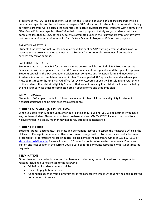programs at MI. SAP calculations for students in the Associate or Bachelor's degree programs will be cumulative regardless of the performance program. SAP calculations for students in a non-matriculating certificate program will be calculated separately for each individual program. Students with a cumulative GPA (Grade Point Average) less than 2 0 in their current program of study and/or students that have completed less than 66 66% of their cumulative attempted units in their current program of study have not met the minimum requirements for Satisfactory Academic Progress (SAP) for that program.

#### SAP WARNING STATUS

Students that have not met SAP for one quarter will be sent an SAP warning letter. Students in an SAP warning status are encouraged to meet with a Student Affairs counselor to request free tutoring services offered on campus.

#### SAP PROBATION STATUS

Students that fail to meet SAP for two consecutive quarters will be notified of SAP Probation status. Financial aid will be suspended until the SAP probationary status is appealed and the appeal is approved. Students appealing the SAP probation decision must complete an SAP appeal form and meet with an Academic Advisor to complete an academic plan. The completed SAP appeal form, and academic plan must be returned to the Financial Aid office for review. Accepted appeals will result in a reinstatement of the student's financial aid eligibility Students that are not receiving financial aid will be contacted by the Registrar Services office to complete both an appeal forms and academic plan.

#### SAP WITHDRAWAL

Students in SAP Appeal that fail to follow their academic plan will lose their eligibility for student financial assistance and be dismissed from attendance.

#### **STUDENT MESSAGES (ALL PROGRAMS)**

When you scan your ID badge upon entering or exiting an MI building, you will be notified if you have any holds/reminders. Please respond to all holds/reminders IMMEDIATELY! Failure to respond to a hold/reminder in a timely manner may negatively affect class attendance.

#### **STUDENT RECORDS**

Students' grades, documents, transcripts and permanent records are kept in the Registrar's Office in the Hollywood Passage (or at a secure off-site document storage facility). To request a copy of a document or transcript, or for student records inquiries, please contact the Registrar's Office at 323-860-1115 or studentrecords@mi.edu. Please allow up to 72 hours for copies of requested documents. Please see Tuition and Fees section in the current Course Catalog for fee amounts associated with student records requests.

#### **TERMINATION**

Other than for the academic reasons cited herein a student may be terminated from a program for reasons including but not limited to the following:

- Violation of student conduct policies
- Failure to pay tuition or fees
- Continuous absence from a program for three consecutive weeks without having been approved for a Leave of Absence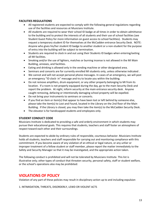#### **FACILITIES REGULATIONS**

- All registered students are expected to comply with the following general regulations regarding use of the facilities and resources at Musicians Institute.
- All students are required to wear their school ID badge at all times in order to obtain admittance to the building and to protect the interests of all students and their use of school facilities (see Student Guest Policy for more information on guest access to school facilities). Students may request a temporary student ID for themselves at the McCadden entrance Security Desk. NOTE: Anyone who gives his/her student ID badge to another student or a non-student for the purpose of entry into the building will be subject to termination.
- Students are required to clock in and out using their Students ID badges when entering/exiting all MI facilities.
- Smoking and/or the use of lighters, matches or burning incense is not allowed in the MI Main Building, annexes, and facilities.
- Eating and drinking is allowed only in the vending machine or other designated area.
- Seminars and concerts are for currently enrolled MI students only, unless otherwise indicated .
- We cannot and will not accept personal phone messages. In cases of an emergency, we will post an emergency "ID clock- in" message and try to locate you within the building.
- Do not remove amplifiers, drum equipment, or any other property belonging to MI from its location. If a room is not properly equipped during the day, go to the main Security Desk and report the problem. At night, inform security at the main entrance security desk. Anyone caught removing, defacing or intentionally damaging school property will be expelled.
- Do not bring your instruments to seminars or concerts.
- If you find an item or item(s) that appear to have been lost or left behind by someone else, please take the item(s) to Lost and Found, located in the Library on the 2nd floor of the Main Building. If the Library is closed, you may then take the item(s) to the McCadden Security Desk.
- The elevator is for handicapped students and employees only.

#### **STUDENT CONDUCT CODE**

Musicians Institute is dedicated to providing a safe and orderly environment in which students may pursue their educational goals. This requires that students, teachers and staff foster an atmosphere of respect toward each other and their surroundings.

Students are expected to abide by ordinary rules of responsible, courteous behavior. Musicians Institute holds all students, teachers and staff responsible for carrying out and monitoring compliance with this commitment. If you become aware of any violation of an ethical or legal nature, or any unfair or improper treatment of a fellow student or staff member, please report the matter immediately to the Safety and Security Manager so that it may be investigated, and the appropriate action taken.

The following conduct is prohibited and will not be tolerated by Musicians Institute. This list is illustrative only; other types of conduct that threaten security, personal safety, staff or student welfare, or the school's operations also may be prohibited:

## **VIOLATIONS OF POLICY**

Violation of any part of these policies may result in disciplinary action up to and including expulsion

1. INTIMIDATION, THREATS, DISORDERLY, LEWD OR VIOLENT ACTS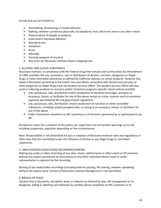Include but are not limited to:

- Intimidating, threatening or hostile behavior
- Stalking, whether carried out physically, by telephone, mail, electronic mail or any other means
- Physical abuse of people or property
- Lewd and/or lascivious behavior
- Disorderly acts
- Vandalism
- Arson
- Sabotage
- Carrying weapons of any kind
- Any other act Musicians Institute deems inappropriate

#### 2. ALCOHOL AND ILLEGAL SUBSTANCES

Musicians Institute, in compliance with the Federal Drug-Free Schools and Communities Act Amendment of 1989, prohibits the use, possession, sale or distribution of alcohol, narcotics, dangerous or illegal drugs or other controlled substances as defined by California statutes on school property. Students may obtain information pertaining to the health risks and effects associated with alcohol and narcotics or other dangerous or illegal drugs from the Student Services Office. The Student Services Office will also assist in referring students to recovery and/or treatment programs Specific school policies prohibit:

- Use, possession, sale, distribution and/or production of alcoholic beverages, acting as an accessory, liaison, or facilitator for any of the above except at a time, location and circumstance expressly permitted by MI and government regulations
- Use, possession, sale, distribution, and/or production of narcotics or other controlled substances, including related paraphernalia, or acting as an accessory, liaison, or facilitator for any of the above
- Public intoxication anywhere on MI's premises or at functions sponsored by or participated in by MI

Disciplinary action for a violation of this policy can range from oral and written warnings up to and including suspension, expulsion depending on the circumstances

Note: Responsibility is not diminished for acts in violation of Musicians Institute rules and regulations or other laws that are committed under the influence of alcohol or any illegal drugs or controlled substances.

#### 3. UNAUTHORIZED AUDIO/VIDEO RECORDING/SHARING

Making any audio or video recording of any class, lesson, performance or other event on MI premises without the explicit permission of instructor(s) or any other individual whose visual or audio representation is captured by the recording.

Sharing of any audio/video recordings (including Internet posting, file sharing, network uploading) without the express prior consent of Musicians Institute Management is not permitted.

#### 4. BREACH OF PEACE

Conduct that is disorderly, disruptive, lewd, or indecent as defined by laws, MI management or its designees; aiding or abetting such behavior by another person anywhere on MI's premises or at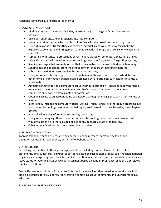functions sponsored by or participated in by MI.

#### 5. COMPUTER VIOLATIONS

- Modifying system or network facilities, or attempting to damage or "crash" systems or networks;
- Using personal software on Musicians Institute computers;
- Using network resources which inhibit or interfere with the use of the network by others;
- Using, duplicating or transmitting copyrighted material in any way that may reasonably be expected to constitute an infringement, or that exceeds the scope of a license, or violates other contracts;
- Tampering with software protections or restrictions placed on computer applications or files;
- Using Musicians Institute information technology resources for personal for-profit purposes;
- Sending messages that are malicious or that a reasonable person would find to be harassing;
- Sending personal messages from the school network that are threatening in nature;
- Subverting restrictions associated with computer accounts;
- Using information technology resources to obtain unauthorized access to records, data, and other forms of information owned, used, possessed by, or pertaining to Musicians Institute or individuals;
- Accessing another person's computer account without permission—including supplying false or misleading data, or improperly obtaining another's password in order to gain access to computers or network systems, data or information;
- Obtaining access to an account name or password through the negligence or inattentiveness of another;
- Intentionally introducing computer viruses, worms, Trojan Horses, or other rogue programs into information technology resources that belong to, are licensed to, or are leased by the college or others;
- Physically damaging information technology resources;
- Using, or encouraging others to use, information technology resources in any manner that would violate this or other college policies or any applicable state or federal law
- Other actions Musicians Institute deems inappropriate

#### 6. TELEPHONE VIOLATIONS

Tapping telephone or cable lines, altering another's phone message, harassing by telephone, unauthorized use of MI telephones, or theft of telephone service

#### 7. HARASSMENT

Disturbing, tormenting, bothering, annoying of others including, but not limited to slurs, jokes, statements, emails, gestures, pictures, or cartoons based on such factors as race, color, religion, national origin, ancestry, age, physical disability, medical condition, marital status, sexual orientation, family care leave status, or veteran status as well as harassment based on gender, pregnancy, childbirth, or related medical conditions

Sexual Harassment includes all these prohibited actions as well as other unwelcome conduct such as stalking, requests for sexual favors, conversation containing sexual comments, and unwelcome sexual advances

#### 8. HEALTH AND SAFETY VIOLATIONS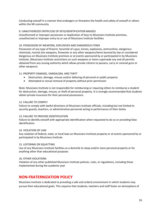Conducting oneself in a manner that endangers or threatens the health and safety of oneself or others within the MI community

#### 9. UNAUTHORIZED ENTRY/USE OF KEYS/IDENTIFICATION BADGES

Unauthorized or improper possession or duplication of keys to Musicians Institute premises, unauthorized or improper entry to or use of Musicians Institute facilities

#### 10. POSSESSION OF WEAPONS, EXPLOSIVES AND DANGEROUS ITEMS

Possession of any type of firearm, facsimile of a gun, knives, explosives, ammunition, dangerous chemicals, martial arts weapons, fireworks or any other weapons/items banned by law or considered dangerous on Musicians Institute premises or at events sponsored by or participated in by Musicians Institute. (Musicians Institute restrictions on such weapons or items supersede any and all permits obtained from any issuing authority which allows private citizens to possess, carry or conceal guns or other weapons)

#### 11. PROPERTY DAMAGE, VANDALISM, AND THEFT

- Destruction, damage, misuse and/or defacing of personal or public property
- Attempted or actual removal of property without prior permission

Note: Musicians Institute is not responsible for reimbursing or requiring others to reimburse a student for destruction, damage, misuse, or theft of personal property. It is strongly recommended that students obtain private insurance for their personal possessions.

#### 12. FAILURE TO COMPLY

Failure to comply with lawful directions of Musicians Institute officials, including but not limited to security guards, teachers, or administrative personnel acting in performance of their duties

#### 13. FAILURE TO PROVIDE IDENTIFICATION

Failure to identify oneself with appropriate identification when requested to do so or providing false identification

#### 14. VIOLATION OF LAW

Any violation of federal, state, or local laws on Musicians Institute property or at events sponsored by or participated in by Musicians Institute

#### 15. LOITERING OR SQUATTING

Use of any Musicians Institute facilities as a domicile to sleep and/or store personal property or for anything other than educational purposes

#### 16. OTHER VIOLATIONS

Violation of any other published Musicians Institute policies, rules, or regulations, including those implemented during the academic year

## **NON-FRATERNIZATION POLICY**

Musicians Institute is dedicated to providing a safe and orderly environment in which students may pursue their educational goals. This requires that students, teachers and staff foster an atmosphere of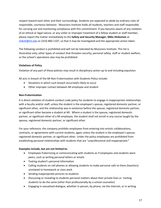respect toward each other and their surroundings. Students are expected to abide by ordinary rules of responsible, courteous behavior. Musicians Institute holds all students, teachers and staff responsible for carrying out and monitoring compliance with this commitment. If you become aware of any violation of an ethical or legal nature, or any unfair or improper treatment of a fellow student or staff member, please report the matter immediately to the **Safety and Security Manager, Mike Hinksmon** at **mikeh@mi.edu** or (323) 860-1107, so that it may be investigated and the appropriate action taken.

The following conduct is prohibited and will not be tolerated by Musicians Institute. This list is illustrative only; other types of conduct that threaten security, personal safety, staff or student welfare, or the school's operations also may be prohibited:

#### **Violations of Policy**

Violation of any part of these policies may result in disciplinary action up to and including expulsion.

All acts in breach of the MI Non-Fraternization with Students Policy include:

- Situations in which such breach occurred/is likely to occur
- Other improper contact between MI employee and student

#### **Non-Fraternization**

It is direct violation of student conduct code policy for students to engage in inappropriate relationships with a faculty and/or staff, unless the student is the employee's spouse, registered domestic partner, or significant other, and the relationship was in existence before the spouse, registered domestic partner, or significant other became a student at MI. Where a student is the spouse, registered domestic partner, or significant other of a MI employee, the student shall not enroll in any course taught by the spouse, registered domestic partner, or significant other.

For your reference, the company prohibits employees from entering into artistic collaborations, contracts, or agreements with current students, again unless the student is the employee's spouse, registered domestic partner, or significant other. Under the policy employees are prohibited from establishing personal relationships with students that are "unprofessional and inappropriate."

#### **Examples include, but are not limited to:**

- Employees fraternizing or communicating with students as if employees and students were peers, such as writing personal letters or emails
- Texting student's personal information
- Calling students on cell phones or allowing students to make personal calls to them (teachers) unrelated to homework or class work
- Sending inappropriate pictures to students
- Discussing or revealing to students personal matters about their private lives or inviting students to do the same (other than professionally by a school counselor)
- Engaging in sexualized dialogue, whether in person, by phone, via the Internet, or in writing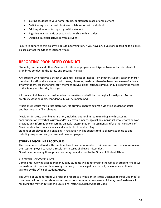- Inviting students to your home, studio, or alternate place of employment
- Participating in a for profit business collaboration with a student
- Drinking alcohol or taking drugs with a student
- Engaging in a romantic or sexual relationship with a student
- Engaging in sexual activities with a student

Failure to adhere to this policy will result in termination. If you have any questions regarding this policy, please contact the Office of Student Affairs.

## **REPORTING PROHIBITED CONDUCT**

Students, teachers and other Musicians Institute employees are obligated to report any incident of prohibited conduct to the Safety and Security Manager.

Any student who receives a threat of violence-- direct or implied-- by another student, teacher and/or member of staff, and any student who hears, observes, reads or otherwise becomes aware of a threat by any student, teacher and/or staff member on Musicians Institute campus, should report the matter to the Safety and Security Manager.

All threats of violence are considered serious matters and will be thoroughly investigated. To the greatest extent possible, confidentiality will be maintained.

Musicians Institute may, at its discretion, file criminal charges against a violating student or assist another person in filing charges.

Musicians Institute prohibits retaliation, including but not limited to making any threatening communication by verbal, written and/or electronic means, against any individual who reports and/or provides any information concerning unlawful discrimination, harassment and/or other violations of Musicians Institute policies, rules and standards of conduct. Any

student or employee found engaging in retaliation will be subject to disciplinary action up to and including suspension and/or termination of employment.

#### **STUDENT DISCIPLINE PROCEDURES**

The procedures outlined in this section, based on common rules of fairness and due process, represent the steps employed to reach a resolution in cases of alleged misconduct. Questions concerning these procedures may be addressed to the Office of Student Affairs.

#### A. REFERRAL OF COMPLAINTS

Complaints involving alleged misconduct by students will be referred to the Office of Student Affairs will be made within one month following discovery of the alleged misconduct, unless an exception is granted by the Office of Student Affairs.

The Office of Student Affairs will refer the report to a Musicians Institute Designee (School Designee) or may provide information about other campus or community resources which may be of assistance in resolving the matter outside the Musicians Institute Student Conduct Code.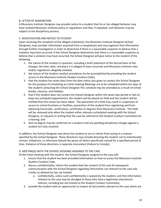#### B. LETTER OF ADMONITION

A Musicians Institute Designee may provide notice to a student that his or her alleged behavior may have violated Musicians Institute policy or regulations and that, if repeated, such behavior may be subject to the disciplinary process.

#### C. INVESTIGATION AND NOTICE TO STUDENT

Upon receiving the complaint of the alleged violation(s), the Musicians Institute Designee (School Designee), may consider information acquired from a complainant and may augment that information through further investigation in order to determine if there is a reasonable suspicion to believe that a violation may have occurred. If the School Designee determines that there is a reasonable suspicion to believe that a violation may have occurred, the School Designee will give notice to the student of the following:

- 1. the nature of the conduct in question, including a brief statement of the factual basis of the charges; the time, date, and place it is alleged to have occurred; and Musicians Institute rules and/or regulations allegedly violated;
- 2. the nature of the student conduct procedures (to be accomplished by providing the student access to the Musicians Institute Student Conduct Code);
- 3. that the student has seven days from the date notice was given to contact the School Designee for the purpose of scheduling an initial meeting Meetings are to be scheduled within ten days of the student contacting the School Designee This schedule may be amended as a result of school breaks, closures, and holidays
- 4. that if the student does not contact the School Designee within the seven-day period or fails to keep any scheduled appointment, the student will be placed on Hold and the student will be notified that this action has been taken. The placement of a Hold may result in suspension of access to school functions or facilities, prevention of the student from registering and from obtaining transcripts, verifications, certificates or degrees from Musicians Institute. The Hold will be removed only when the student either attends a scheduled meeting with the School Designee, or requests in writing that the case be referred to the Student Conduct Committee for a hearing; and
- 5. that no degree may be conferred on a student until any pending disciplinary charges against a student are fully resolved.

In addition, the School Designee may direct the student to act or refrain from acting in a manner specified by the School Designee. These directions may include directing the student not to intentionally contact, telephone, or otherwise disturb the peace of others specifically named for a specified period of time. Violation of these directions is separate misconduct (Failure to Comply).

#### D. MEETING(S) WITH THE SCHOOL DESIGNEE ASSIGNED TO THE CASE

At the initial meeting with the student, the School Designee assigned to the case will:

- 1. ensure that the student has been provided information on how to access the Musicians Institute Student Conduct Code;
- 2. discuss confidentiality; inform the student that the content of this and all subsequent communication with the School Designee regarding information not relevant to the case will, insofar as allowed by law, be treated
	- a. confidentially, unless such confidentiality is waived by the student; and that information relevant to the case may be divulged to those who have a legitimate educational interest, including but not limited to the Student Conduct Committee;
- 3. provide the student with an opportunity to inspect all documents relevant to the case which are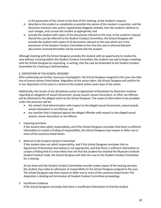in the possession of the school at the time of the meeting, at the student's request;

- 4. describe to the student as completely as possible the nature of the conduct in question, and the Musicians Institute rules and/or regulation(s) allegedly violated, hear the student's defense to such charges, and counsel the student as appropriate; and
- 5. provide the student with copies of the documents relevant to the case, at the student's request Should the case be referred to the Student Conduct Committee, the School Designee will provide the student with copies of all documents relevant to the case which are in the possession of the Student Conduct Committee at the time the case is referred Relevant documents received thereafter will be shared with the student

Although meeting with the School Designee provides the student with an opportunity to resolve the case without a hearing before the Student Conduct Committee, the student may opt to forgo a meeting with the School Designee by requesting, in writing, that the case be forwarded to the Student Conduct Committee for a hearing as defined below.

#### E. DISPOSITION BY THE SCHOOL DESIGNEE

After conducting any further necessary investigation, the School Designee assigned to the case may take one of several actions listed below. Regardless of the action taken, the School Designee will confirm his or her disposition of the case in a notice to the student within seven days of the action.

Additionally, the results of any disciplinary action or Agreement of Resolution by Musicians Institute regarding an allegation of sexual harassment, sexual assault, sexual misconduct, or other sex offenses will be disclosed to the alleged victim by the School Designee. The scope of information to be provided under this provision will be:

- the school's final determination with respect to the alleged sexual harassment, sexual assault, sexual misconduct or sex offense; and
- any sanction that is imposed against the alleged offender with respect to the alleged sexual assault, sexual misconduct or sex offense.
- 1 Imposing Sanctions

If the student does admit responsibility, and if the School Designee concludes that there is sufficient information to sustain a finding of responsibility, the School Designee may impose or defer one or more of the sanctions listed herein.

2 Referral to the Student Conduct Committee

If the student does not admit responsibility, and if the School Designee concludes that an Agreement of Resolution (see below) is not appropriate, and that there is sufficient information to sustain a finding that it is more likely than not that the student has violated the Musicians Institute Student Conduct Code, the School Designee will refer the case to the Student Conduct Committee for a hearing.

At any time until the Student Conduct Committee recorder makes report of the hearing decision, the student may make an admission of responsibility to the School Designee assigned to the case. The School Designee may then impose or defer one or more of the sanctions listed herein This disposition is binding and terminates all Student Conduct Committee proceedings.

#### 3 Insufficient Evidence

If the School Designee concludes that there is insufficient information to find the student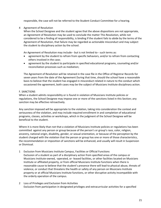responsible, the case will not be referred to the Student Conduct Committee for a hearing.

#### 4 Agreement of Resolution

When the School Designee and the student agree that the above dispositions are not appropriate, an Agreement of Resolution may be used to conclude the matter This Resolution, while not considered to be a finding of responsibility, is binding If the student fails to abide by the terms of the Agreement of Resolution, that failure may be regarded as actionable misconduct and may subject the student to disciplinary action by the school.

An Agreement of Resolution may include-- but is not limited to-- such terms as:

- agreement by the student to refrain from specific behaviors, and/or to refrain from contacting others involved in the case;
- agreement by the student to participate in specified educational programs, counseling and/or reconciliation processes such as mediation;

The Agreement of Resolution will be retained in the case file in the Office of Registrar Records for seven years from the date of the Agreement During that time, should the school have a reasonable basis to believe that the student has engaged in misconduct related in nature to the conduct which occasioned the agreement, both cases may be the subject of Musicians Institute disciplinary action.

#### F. SANCTIONS

When a student admits responsibility or is found in violation of Musicians Institute policies or regulations, the School Designee may impose one or more of the sanctions listed in this Section; any sanction may be effective retroactively.

Any sanction imposed will be appropriate to the violation, taking into consideration the context and seriousness of the violation, and may include required enrollment in and completion of educational programs, classes, activities or workshops, which in the judgment of the School Designee will be beneficial to the student.

Where it is more likely than not that a violation of Musicians Institute policies or regulations has been committed against any person or group because of the person's or group's race, color, religion, ancestry, national origin, disability, gender, or sexual orientation, or because of the perception by the student charged with the violation that the person or group has one or more of those characteristics, the recommendation or imposition of sanctions will be enhanced, and usually will result in Suspension or Dismissal.

- 1 Exclusion from Musicians Institute Campus, Facilities or Official Functions Exclusion of a student as part of a disciplinary action from specified areas of the campus or Musicians Institute-owned, -operated, or -leased facilities, or other facilities located on Musicians Institute or affiliated property, or from official Musicians Institute functions when there is reasonable cause to believe that the student's presence there will lead to physical abuse, threats of violence, or conduct that threatens the health or safety of any person on Musicians Institute property or at official Musicians Institute functions, or other disruptive activity incompatible with the orderly operation of the campus.
- 2 Loss of Privileges and Exclusion from Activities Exclusion from participation in designated privileges and extracurricular activities for a specified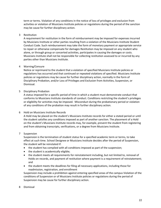term or terms. Violation of any conditions in the notice of loss of privileges and exclusion from activities or violation of Musicians Institute policies or regulations during the period of the sanction may be cause for further disciplinary action.

#### 3 Restitution

A requirement for restitution in the form of reimbursement may be imposed for expenses incurred by Musicians Institute or other parties resulting from a violation of the Musicians Institute Student Conduct Code. Such reimbursement may take the form of monetary payment or appropriate service to repair or otherwise compensate for damages Restitution may be imposed on any student who alone, or through group or concerted activities, participates in causing the damages or costs. Musicians Institute shall not be responsible for collecting restitution assessed to or incurred by any parties other than Musicians Institute.

#### 4 Warning/Censure

Notice or reprimand to the student that a violation of specified Musicians Institute policies or regulations has occurred and that continued or repeated violations of specified. Musicians Institute policies or regulations may be cause for further disciplinary action, normally in the form of Disciplinary Probation, and/or Loss of Privileges and Exclusion from Activities, Suspension, or Dismissal.

#### 5 Disciplinary Probation

A status imposed for a specific period of time in which a student must demonstrate conduct that conforms to Musicians Institute standards of conduct. Conditions restricting the student's privileges or eligibility for activities may be imposed. Misconduct during the probationary period or violation of any conditions of the probation may result in further disciplinary action.

#### 6 Hold on Musicians Institute Records

A Hold may be placed on the student's Musicians Institute records for either a stated period or until the student satisfies any conditions imposed as part of another sanction. The placement of a Hold on the student's Musicians Institute records may, for example, prevent the student from registering and from obtaining transcripts, verifications, or a degree from Musicians Institute.

#### 7 Suspension

Suspension is the termination of student status for a specified academic term or terms, to take effect at such time. School Designee or Musicians Institute decides after the period of Suspension, the student will be reinstated if:

- the student has complied with all conditions imposed as part of the suspension;
- the student is academically eligible;
- the student meets all requirements for reinstatement including, but not limited to, removal of Holds on records, and payment of restitution where payment is a requirement of reinstatement; and
- the student meets the deadlines for filing all necessary applications, including those for readmission, registration, and enrollment

Suspension may include a prohibition against entering specified areas of the campus Violation of the conditions of Suspension or of Musicians Institute policies or regulations during the period of Suspension may be cause for further disciplinary action.

8 Dismissal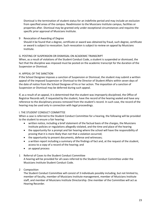Dismissal is the termination of student status for an indefinite period and may include an exclusion from specified areas of the campus. Readmission to the Musicians Institute campus, facilities or properties after. Dismissal may be granted only under exceptional circumstances and requires the specific prior approval of Musicians Institute.

#### 9 Revocation of Awarding of Degree

Should it be found that a degree, certificate or award was obtained by fraud, such degree, certificate or award is subject to revocation. Such revocation is subject to review on appeal by Musicians Institute.

#### G. POSTING OF SUSPENSION OR DISMISSAL ON ACADEMIC TRANSCRIPT

When, as a result of violations of the Student Conduct Code, a student is suspended or dismissed, the fact that the discipline was imposed must be posted on the academic transcript for the duration of the Suspension or Dismissal.

#### H. APPEAL OF THE SANCTION

If the School Designee imposes a sanction of Suspension or Dismissal, the student may submit a written appeal of the imposed Suspension or Dismissal to the Director of Student Affairs within seven days of the date of notice from the School Designee of his or her action. The imposition of a sanction of Suspension or Dismissal may be deferred during such appeal.

If, as a result of an appeal, it is determined that the student was improperly disciplined, the Office of Registrar Records will, if requested by the student, have the record of the hearing sealed and have any reference to the disciplinary process removed from the student's record. In such case, the record of the hearing may be used only in connection with legal proceedings.

#### I. THE STUDENT CONDUCT COMMITTEE

When a case is referred to the Student Conduct Committee for a hearing, the following will be provided to the student to ensure a fair hearing:

- written notice, including a brief statement of the factual basis of the charges, the Musicians Institute policies or regulations allegedly violated, and the time and place of the hearing
- the opportunity for a prompt and fair hearing where the school will have the responsibility of proving that it is more likely than not that a violation occurred;
- the opportunity to present documents, defense and witnesses;
- a written report including a summary of the findings of fact and, at the request of the student, access to a copy of a record of the hearing; and
- an appeal process

#### 1 Referral of Cases to the Student Conduct Committee

A hearing will be provided for all cases referred to the Student Conduct Committee under the Musicians Institute Student Conduct Code.

#### 2 Composition

The Student Conduct Committee will consist of 3 individuals possibly including, but not limited to, member of faculty, member of Musicians Institute management, member of Musicians Institute staff, and member of Musicians Institute Directorship. One member of the Committee will act as Hearing Recorder.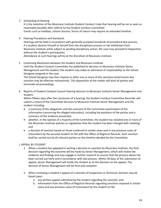3 Scheduling of Hearing

It is the intention of the Musicians Institute Student Conduct Code that hearing will be set as soon as reasonably possible after referral to the Student Conduct Committee. Events such as holidays, school closures, forces of nature may require an extended timeline.

4 Hearing Procedures and Standards

Hearings will be held in accordance with generally accepted standards of procedural due process. If a student absents himself or herself from the disciplinary process or has withdrawn from Musicians Institute while subject to pending disciplinary action, the case may proceed to disposition without the student's participation.

Attendance at such hearings will be at the discretion of Musicians Institute.

#### 5 Continuing Resolution between the Student and Musicians Institute

Until the Student Conduct Committee has published its decision to Musicians Institute Senior Management and the student, the student may make an admission of responsibility to the School Designee assigned to the case.

The School Designee may then impose or defer one or more of the sanctions listed herein Any sanction may be effective retroactively. This disposition of the matter will bind all parties and terminate all proceedings.

6 Reports of Student Conduct Council Hearing decision to Musicians Institute Senior Management and Student.

Within fifteen days after the conclusion of a hearing, the Student Conduct Committee Recorder will submit a notice of the Committee decision to Musicians Institute Senior Management and the student including:

- a summary of the allegations and the outcome of the Committee examination of the information concerning the alleged misconduct, including the positions of the parties and a summary of the evidence presented;
- whether, in the opinion of a majority of the Committee, the student has violated one or more of the Musicians Institute policies or regulations that the student has been charged with violating; and
- a decision of sanction based on those conferred in similar cases and in any previous cases of misconduct by the accused student on file with the Office of Registrar Records. Such sanction shall be carried out by all relevant parties on the timeline decided by the Committee.

#### J. APPEAL BY STUDENT

- 1. When a student has appealed in writing a decision or sanction by Musicians Institute, the final decision regarding the outcome will be made by Senior Management, which will review the evidence and findings and may engage in further research to ensure that the process above has been carried out fairly and in accordance with due process. Within 20 days of the submission of appeal, Senior Management will notify the student as to the decision on the appeal. The decision of Senior Management will be final and complete.
- 2. When reviewing a student's appeal of a sanction of Suspension or Dismissal, decision may be based upon
	- a. any written appeal submitted by the student regarding the sanction; and
	- b. information from the Office of Registrar Records regarding sanctions imposed in similar cases and any previous cases of misconduct by the student on file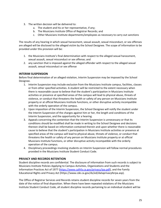- 3. The written decision will be delivered to:
	- a. The student and his or her representative, if any;
	- b. The Musicians Institute Office of Registrar Records; and
	- c. Other Musicians Institute departments/employees as necessary to carry out sanctions

The results of any hearing in which sexual harassment, sexual assault, sexual misconduct, or sex offenses are alleged will be disclosed to the alleged victim by the School Designee. The scope of information to be provided under this provision will be:

- 1. the Musicians Institute's final determination with respect to the alleged sexual harassment, sexual assault, sexual misconduct or sex offense; and
- 2. any sanction that is imposed against the alleged offender with respect to the alleged sexual assault, sexual misconduct or sex offense

#### **INTERIM SUSPENSION**

Before final determination of an alleged violation, Interim Suspension may be imposed by the School Designee.

- 1. Interim Suspension may include exclusion from the Musicians Institute campus, facilities, classes or from other specified activities. A student will be restricted to the extent necessary when there is reasonable cause to believe that the student's participation in Musicians Institute activities or presence at specified areas of the campus will lead to physical abuse, threats of violence, or conduct that threatens the health or safety of any person on Musicians Institute property or at official Musicians Institute functions, or other disruptive activity incompatible with the orderly operation of the campus.
- 2. Upon imposition of the Interim Suspension, the School Designee will notify the student under the Interim Suspension of the charges against him or her, the length and conditions of the Interim Suspension, and the opportunity for a hearing.
- 3. Appeals concerning the contention that the Interim Suspension is unnecessary or that its conditions should be modified shall be made in writing to the School Designee and decisions thereon shall be based on information contained therein and upon whether there is reasonable cause to believe that the student's participation in Musicians Institute activities or presence at specified areas of the campus will lead to physical abuse, threats of violence, or conduct that threatens the health or safety of any person on Musicians Institute property or at official Musicians Institute functions, or other disruptive activity incompatible with the orderly operation of the campus.
- 4. Disciplinary proceedings involving students on Interim Suspension will follow normal procedures provided in the Musicians Institute Student Conduct Code.

#### **PRIVACY AND RECORDS RETENTION**

Student discipline records are confidential. The disclosure of information from such records is subject to Musicians Institute Policies Applying to Campus Activities, Organizations and Students and the Information Practices Act of 1977 (https://www.calhfa.ca.gov/privacy/ipa.pdf), and the Family Educational Rights and Privacy Act (https://www.cde.ca.gov/ds/ed/dataprivacyferpa.asp).

The Office of Registrar Services and Records retains student discipline records for seven years from the date of the notice of final disposition. When there have been repeated violations of the Musicians Institute Student Conduct Code, all student discipline records pertaining to an individual student will be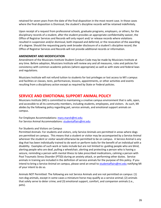retained for seven years from the date of the final disposition in the most recent case. In those cases where the final disposition is Dismissal, the student's discipline records will be retained indefinitely.

Upon receipt of a request from professional schools, graduate programs, employers, or others, for the disciplinary records of a student, after the student provides an appropriate confidentiality waiver, the Office of Registrar Services and Records will only report and/ or release records where violations resulted in suspension and/or dismissal, both imposed and deferred, or the revocation of the awarding of a degree. Should the requesting party seek broader disclosure of a student's discipline record, the Office of Registrar Services and Records will not provide additional records or information.

#### **AMENDMENT AND MODIFICATION**

Amendment of the Musicians Institute Student Conduct Code may be made by Musicians Institute at any time. Before adoption, Musicians Institute will review any and all measures, rules and policies for consistency with common academic policies (where appropriate) as well as with state and federal laws and regulations.

Musicians Institute will not refund tuition to students for lost privileges or lost access to MI's campus and facilities or classes, tests, performances, lessons, appointments, or other activities and events resulting from a disciplinary action except as required by State or Federal policies.

### **SERVICE AND EMOTIONAL SUPPORT ANIMAL POLICY**

Musicians Institute (MI) is committed to maintaining a creative campus environment that is safe, open, and accessible to all its community members, including students, employees, and visitors. As such, MI abides by the following policy regarding pet, service animals, and emotional support animals on campus.

For Employee Accommodations: mary.marsh@mi.edu For Service Animal Accommodations: studentaffairs@mi.edu

#### For Students and Visitors on Campus

Permitted Animals: For students and visitors, only Service Animals are permitted in areas where dogs are permitted on campus. This means that a student or visitor may be accompanied by a Service Animal wherever the student or visitor would otherwise be permitted to be on campus. A Service Animal is any dog that has been individually trained to do work or perform tasks for the benefit of an individual with a disability. Examples of such work or tasks include but are not limited to: guiding people who are blind, alerting people who are deaf, pulling a wheelchair, alerting and protecting a person who is having a seizure, reminding a person with mental illness to take prescribed medications, calming a person with Post Traumatic Stress Disorder (PTSD) during an anxiety attack, or performing other duties. Service animals in training are included in the definition of service animals for the purpose of this policy. If you intend to bring a Service Animal on campus, please send an email to studentaffairs@mi.edu notifying MI of your intent to do so.

Animals NOT Permitted: The following are not Service Animals and are not permitted on campus: (1) non-dog animals, except in some cases a miniature horse may qualify as a service animal; (2) animals that solely serve to deter crime; and (3) emotional support, comfort, and companion animals (i.e., pets).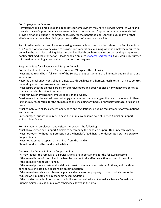For Employees on Campus

Permitted Animals: Employees and applicants for employment may have a Service Animal at work and may also have a Support Animal as a reasonable accommodation. Support Animals are animals that provide emotional support, comfort, or security for the benefit of a person with a disability, or that alleviate one or more identified symptoms or effects of a person's disability.

Permitted Inquiries: An employee requesting a reasonable accommodation related to a Service Animal or a Support Animal may be asked to provide documentation explaining why the employee requires an animal in the workplace. All inquiries must be handled through Human Resources, as they may involve confidential medical information. Please send an email to mary.marsh@mi.edu if you would like further information regarding a reasonable accommodation request.

Responsibilities for All Service and Support Animals

For the handler of a Service or Support Animal, MI expects the following:

Must attend to and be in full control of the Service or Support Animal at all times, including all care and supervision.

Keep the animal under control at all times, e.g., through use of a harness, leash, tether, or voice control, depending upon the task/work performed.

Must assure that the animal is free from offensive odors and does not display any behaviors or noises that are unduly disruptive to others.

Must remove or arrange for removal of any animal waste.

Must assure that the animal does not engage in behavior that endangers the health or safety of others. Is financially responsible for the animal's actions, including any bodily or property damage, or cleaning costs.

Must comply with all local government codes and regulations, including requirements for vaccinations and licensing.

Is encouraged, but not required, to have the animal wear some type of Service Animal or Support Animal identification.

For MI students, employees, and visitors, MI expects the following:

Must allow Service and Support Animals to accompany the handler, as permitted under this policy. Must not touch (without the permission of the handler), feed, harass, or deliberately startle Service or Support Animals.

Must not attempt to separate the animal from the handler.

Should not discuss the handler's disability.

Removal of a Service Animal or Support Animal

MI may request the removal of a Service Animal or Support Animal for the following reasons: If the animal is out of control and the handler does not take effective action to control the animal. If the animal is not house-trained.

If the animal poses a substantial and direct threat to the health and safety of others, and the threat cannot be eliminated by a reasonable accommodation.

If the animal would cause substantial physical damage to the property of others, which cannot be reduced or eliminated by a reasonable accommodation.

If the handler provides information that indicates that animal is not actually a Service Animal or a Support Animal, unless animals are otherwise allowed in the area.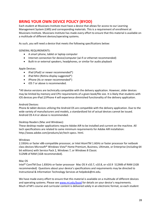## **BRING YOUR OWN DEVICE POLICY (BYOD)**

Each student at Musicians Institute must have a device that allows for access to our Learning Management System (LMS) and corresponding materials. This is a requirement of enrollment at Musicians Institute. Musicians Institute has made every effort to ensure that this material is available on a multitude of different devices/operating systems.

As such, you will need a device that meets the following specifications below:

#### GENERAL REQUIREMENTS:

- A smart phone, tablet or laptop computer
- Internet connection for device/computer (wi-fi or ethernet recommended)
- Built-in or external speakers, headphones, or similar for audio playback

#### Apple Devices:

- iPad (iPad2 or newer recommended\*)
- iPad Mini (Retina display suggested\*)
- iPhone (4s or newer recommended\*)
- iOS 7 or above is recommended.

\*All device versions are technically compatible with the delivery application. However, older devices may be limited by memory and CPU requirements of a given book/file size. It is likely that students with iOS devices pre-iPad 2/iPhone 4 will experience diminished functionality of the delivery application.

#### Android Devices:

Phone & tablet devices utilizing the Android OS are compatible with the delivery application. Due to the wide variety of manufacturers and models, a standardized list of actual devices cannot be issued. Android OS 4.4 or above is recommended.

#### Desktop Readers (Mac and Windows):

These desktop reader applications require Adobe AIR to be installed and current on the machine. All tech specifications are related to same minimum requirements for Adobe AIR installation: http://www.adobe.com/products/air/tech-specs. html.

#### Windows

2.33GHz or faster x86-compatible processor, or Intel AtomTM 1.6GHz or faster processor for netbook class devices Microsoft® Windows Vista® Home Premium, Business, Ultimate, or Enterprise (including 64 bit editions) with Service Pack 2, Windows 7, or Windows 8 Classic 512MB of RAM (1GB recommended).

#### Mac OS

Intel® CoreTM Duo 1.83GHz or faster processor Mac OS X v10.7, v10.8, or v10.9 512MB of RAM (1GB recommended) Questions about your device's specifications and requirements may be directed to Instructional & Information Technology Services at helpdesk@mi.edu.

We have made every effort to ensure that this material is available on a multitude of different devices and operating systems. Please see www.mi.edu/byod for details on your device's requirements. Much of MI's course and curricular content is delivered solely in an electronic format, so each student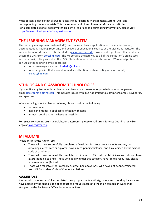must possess a device that allows for access to our Learning Management System (LMS) and corresponding course materials. This is a requirement of enrollment at Musicians Institute. For a complete list of all books/materials, as well as prices and purchasing information, please visit https://www.mi.edu/admissions/textbooks/.

## **THE LEARNING MANAGEMENT SYSTEM**

The learning management system (LMS) is an online software application for the administration, documentation, tracking, reporting, and delivery of educational courses at the Musicians Institute. The web address for Musicians Institute's LMS is classrooms.mi.edu, however, it is preferred that students access the LMS from portal.mi.edu. The MI portal is the gateway to all of the institution's online tools, such as e-mail, billing, as well as the LMS. Students who require assistance for LMS related problems can utilize the following email addresses:

- for non-emergency issues: Imshelp@mi.edu
- for emergencies that warrant immediate attention (such as testing access contact): lms911@mi.edu

## **STUDIOS AND CLASSROOM TECHNOLOGIES**

If you notice any issues with hardware or software in a classroom or private lesson room, please email classroomhelp@mi.edu. This includes issues with, but not limited to, computers, amps, keyboards, and speakers.

When emailing about a classroom issue, please provide the following:

- room number
- make and model (if applicable) of item with issue
- as much detail about the issue as possible.

For issues concerning drum gear, labs, or classrooms; please email Drum Services Coordinator Mike Vega at mvega@mi.edu.

## **MI ALUMNI**

Musicians Institute Alumni are:

- Those who have successfully completed a Musicians Institute program in its entirety by obtaining a certificate or diploma, have a zero-pending balance, and have abided by the school code of conduct or;
- Those who have successfully completed a minimum of 15 credits at Musicians Institute and have a zero-pending balance. Those who qualify under this category have limited resources, please inquire at alumni@mi.edu.
- Those who fall into either category as described above AND who have not been terminated from MI for student Code of Conduct violations.

#### **ALUMNI PASS**

Alumni who have successfully completed their program in its entirety, have a zero pending balance and have abided by the school code of conduct can request access to the main campus on weekends stopping by the Registrar's Office for an Alumni Pass.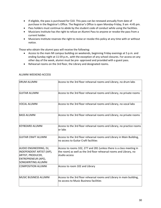- If eligible, the pass is purchased for \$10. This pass can be renewed annually from date of purchase in the Registrar's Office. The Registrar's Office is open Monday-Friday, 9 am -4:45 pm.
- Pass holders must continue to abide by the student code of conduct while using the facilities.
- Musicians Institute has the right to refuse an Alumni Pass to anyone or revoke the pass from a current holder.
- Musicians Institute reserves the right to revise or revoke this policy at any time with or without notice.

Those who obtain the alumni pass will receive the following:

- Access to the main MI campus building on weekends, beginning Friday evenings at 5 p.m. and ending Sunday night at 11:59 p.m., with the exception of any school closures. For access on any other day of the week, alumni must be pre- approved and provided with a guest pass.
- Rehearsal rooms on the 3rd floor, the Library and designated rooms.

| <b>DRUM ALUMNI</b>                                                                                                           | Access to the 3rd floor rehearsal rooms and Library, no drum labs                                                                                            |
|------------------------------------------------------------------------------------------------------------------------------|--------------------------------------------------------------------------------------------------------------------------------------------------------------|
| İGUITAR ALUMNI                                                                                                               | Access to the 3rd floor rehearsal rooms and Library, no private rooms                                                                                        |
| VOCAL ALUMNI                                                                                                                 | Access to the 3rd floor rehearsal rooms and Library, no vocal labs                                                                                           |
| <b>BASS ALUMNI</b>                                                                                                           | Access to the 3rd floor rehearsal rooms and Library, no private rooms                                                                                        |
| KEYBOARD ALUMNI                                                                                                              | Access to the 3rd floor rehearsal rooms and Library, no practice rooms<br>lor Iabs                                                                           |
| İGUITAR CRAFT ALUMNI                                                                                                         | Access to the 3rd floor rehearsal rooms and Library in Main Building,<br>lno access to Guitar Craft facilities                                               |
| AUDIO ENGINEERING, DJ,<br>INDEPENDENT ARTIST (IAP),<br><b>ARTIST, PRODUCER,</b><br>ENTREPRENEUR (APE),<br>SONGWRITING ALUMNI | Access to rooms 102, 277 and 281 (unless there is a class meeting in<br>the room) as well as the 3rd floor rehearsal rooms and Library, no<br>lstudio access |
| ICOMPOSITION ALUMNI                                                                                                          | Access to room 102 and Library                                                                                                                               |
| MUSIC BUSINESS ALUMNI                                                                                                        | Access to the 3rd floor rehearsal rooms and Library in main building,<br>no access to Music Business facilities                                              |

#### ALUMNI WEEKEND ACCESS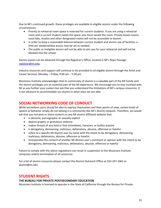Due to MI's continued growth, these privileges are available to eligible alumni under the following circumstances:

- Priority to rehearsal room space is reserved for current students. If you are using a rehearsal room and a current student needs the space, you must vacate the room. Private lesson rooms, vocal labs, studios and other designated rooms will not be accessible to alumni.
- In order to keep a reasonable balance between current student and alumni use of facilities, a limit per weekend/day access may be set as needed.
- The public or ineligible alumni will not be able to join you for your rehearsal and will not be allowed into the school.

Alumni passes can be obtained through the Registrar's Office, located in MI's Main Passage: registrar@mi.edu.

Industry resources and support will continue to be provided to all eligible alumni through the Artist and Career Services, Monday – Friday, 9:00 am – 5:30 pm

Musicians Institute acknowledges that its community of alumni is a valuable part of the MI Family and the alumni privileges are an essential part of the MI experience. We encourage you to stay involved with MI as you further your careers but ask that you understand the limitations of MI's campus resources. It is our pleasure to accommodate our alumni in what ways we are able.

## **SOCIAL NETWORKING CODE OF CONDUCT**

While we believe users should be able to express themselves and their points of view, certain kinds of speech or behavior simply do not belong in a community like MI's Alumni network. Therefore, we would ask that you not post or share content on any MI alumni affiliated website that:

- is obscene, pornographic or sexually explicit
- depicts graphic or gratuitous violence
- makes threats of any kind or that intimidates, harasses, or bullies anyone
- is derogatory, demeaning, malicious, defamatory, abusive, offensive or hateful
- refers to a specific MI Alumni user by name with the intent to be derogatory, demeaning, malicious, defamatory, abusive, offensive or hateful
- incorporates the content of another MI Alumni user's comment or opinion with the intent to be derogatory, demeaning, malicious, defamatory, abusive, offensive or hateful

Failure to comply with the above regulations can result in suspension to the Musicians Institute campuses and/or termination of all resources.

For a list of alumni resources please contact the Alumni Outreach Office at 323-337-1062 or alumni@mi.edu

## **STUDENT RIGHTS**

#### **THE BUREAU FOR PRIVATE POSTSECONDARY EDUCATION**

Musicians Institute is licensed to operate in the State of California through the Bureau for Private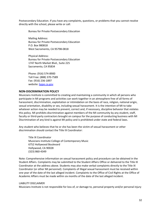Postsecondary Education. If you have any complaints, questions, or problems that you cannot resolve directly with the school, please write or call:

Bureau for Private Postsecondary Education

Mailing Address: Bureau for Private Postsecondary Education P.O. Box 980818 West Sacramento, CA 95798-0818

Physical Address: Bureau for Private Postsecondary Education 1747 North Market Blvd., Suite 225 Sacramento, CA 95834

Phone: (916) 574-8900 Toll Free: (888) 370-7589 Fax: (916) 236-1897 website: bppe.ca.gov

#### **NON-DISCRIMINATION POLICY**

Musicians Institute is committed to creating and maintaining a community in which all persons who participate in MI programs and activities can work together in an atmosphere free of all forms of harassment, discrimination, exploitation or intimidation on the basis of race, religion, national origin, sexual orientation, disability or sex, including sexual harassment. It is the intention of MI to take whatever action may be needed to prevent, correct and, if necessary, discipline behavior that violates this policy. MI prohibits discrimination against members of the MI community by any student, staff, faculty or third-party contractors brought on campus for the purpose of conducting business with MI Discrimination of any kind is against MI policy and is prohibited under state and federal laws.

Any student who believes that he or she has been the victim of sexual harassment or other discrimination should contact the Title IX Coordinator:

Title IX Coordinator Musicians Institute College of Contemporary Music 6752 Hollywood Boulevard Hollywood, CA 90028 (323) 860-4349

Note: Comprehensive information on sexual harassment policy and procedure can be obtained in the Student Affairs. Complaints may be submitted to the Student Affairs Office or delivered to the Title IX Coordinator at the address above. Students may also make verbal complaints directly to the Title IX Coordinator (or other MI personnel). Complaints of illegal sexual harassment must be received within one year of the date of the last alleged incident. Complaints to the Office of Civil Rights at the Office of Academic Affairs must be made within six months of the date of the last alleged incident.

#### LIABILITY DISCLAIMER

Musicians Institute is not responsible for loss of, or damage to, personal property and/or personal injury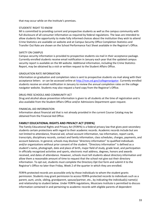that may occur while on the Institute's premises.

#### STUDENTS' RIGHT TO KNOW

MI is committed to providing current and prospective students as well as the campus community with full disclosure of all consumer information as required by federal regulations. The laws are intended to allow students the opportunity to make fully informed choices about the institution they wish to attend Crime Statistics are available on website and at Campus Security Office Completion Statistics and Transfer Out Rate are shown on the School Performance Fact Sheet available in the Registrar's Office.

#### SAFETY ON CAMPUS

Campus security information is provided to prospective students via mail in their acceptance package. Currently enrolled students receive email notification in January each year that the updated campus security report is available on the MI website. Additional information, including the Crime Statistics Report, may be obtained by a visit or written request to the Student Affairs Office.

#### GRADUATION RATE INFORMATION

Information on graduation and completion rates is sent to prospective students via mail along with their acceptance letters or can be accessed online at http://nces.ed.gov/collegenavigator. Currently enrolled students receive an email notification in January to review the annual completion rates on the college navigator website. Students may also request a hard copy from the Registrar's Office.

#### DRUG-FREE SCHOOLS AND COMMUNITY ACT

Drug and alcohol abuse prevention information is given to all students at the time of registration and is also available from the Student Affairs Office and/or Admissions Department upon request.

#### FINANCIAL AID INFORMATION

Information about financial aid that is not already provided in the current Course Catalog may be obtained from the Financial Aid Office.

#### **FAMILY EDUCATIONAL RIGHTS AND PRIVACY ACT (FERPA)**

The Family Educational Rights and Privacy Act (FERPA) is a federal privacy law that gives post-secondary students certain protections with regard to their academic records. Academic records include but are not limited to attendance, financial aid, school account information, tax information, report cards, transcripts, disciplinary records, contact and family information, class schedules, charges, payments, and account balances. In general, schools may disclose "directory information" to qualified individuals and/or organizations without prior consent of the student. "Directory information" is defined as a student's name, photograph, date and place of birth, major field of study, grade level, and participation in officially recognized activities and sports, electronic mail address, degrees, honors and awards received, and dates of attendance. However, schools must tell students about directory information and allow them a reasonable amount of time to request that the school not give out their directory information. To opt out, students must complete the Directory Opt Out form and submit it to the Registrar's Office no later than Friday, Week 2 of the quarter in which they are enrolled.

FERPA-protected records are accessible only by those individuals to whom the student grants permission. Students may grant permission to access FERPA-protected records to individuals such as a parent, aunt, uncle, sibling, grandparent, spouse/partner, etc., by indicating the individual(s) name(s) and relationship to student below. Under FERPA regulations, Musicians Institute is permitted to discuss information contained in and pertaining to academic records with eligible parents of dependent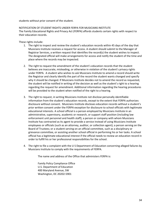students without prior consent of the student.

NOTIFICATION OF STUDENT RIGHTS UNDER FERPA FOR MUSICIANS INSTITUTE The Family Educational Rights and Privacy Act (FERPA) affords students certain rights with respect to their education records.

These rights include:

- 1. The right to inspect and review the student's education records within 45 days of the day that Musicians Institute receives a request for access. A student should submit to the Manager of Registrar Services, a written request that identifies the record(s) the student wishes to inspect. The designated official will make arrangements for access and notify the student of the time and place where the records may be inspected.
- 2. The right to request the amendment of the student's education records that the student believes are inaccurate, misleading, or otherwise in violation of the student's privacy rights under FERPA. A student who wishes to ask Musicians Institute to amend a record should write the Registrar and clearly identify the part of the record the student wants changed and specify why it should be changed. If Musicians Institute decides not to amend the record as requested, the student will be notified in writing of the decision as well as the student's right to a hearing regarding the request for amendment. Additional information regarding the hearing procedures will be provided to the student when notified of the right to a hearing.
- 3. The right to request, in writing Musicians Institute not disclose personally identifiable information from the student's education records, except to the extent that FERPA authorizes disclosure without consent. Musicians Institute discloses education records without a student's prior written consent under the FERPA exception for disclosure to school officials with legitimate educational interests. A school official is a person employed by Musicians Institute in an administrative, supervisory, academic or research, or support staff position (including law enforcement unit personnel and health staff); a person or company with whom Musicians Institute has contracted as its agent to provide a service instead of using Musicians Institute employees or officials (such as an attorney, auditor, or collection agent); a person serving on the Board of Trustees; or a student serving on an official committee, such as a disciplinary or grievance committee, or assisting another school official in performing his or her tasks. A school official has a legitimate educational interest if the official needs to review an education record in order to fulfill his or her professional responsibilities for the school.
- 4. The right to file a complaint with the U S Department of Education concerning alleged failures by Musicians Institute to comply with the requirements of FERPA.

The name and address of the Office that administers FERPA is:

Family Policy Compliance Office U.S. Department of Education 400 Maryland Avenue, SW Washington, DC 20202-5901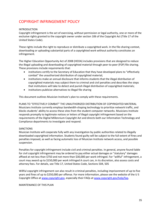## COPYRIGHT INFRINGEMENT POLICY

#### INTRODUCTION

Copyright infringement is the act of exercising, without permission or legal authority, one or more of the exclusive rights granted to the copyright owner under section 106 of the Copyright Act (Title 17 of the United States Code).

These rights include the right to reproduce or distribute a copyrighted work. In the file-sharing context, downloading or uploading substantial parts of a copyrighted work without authority constitutes an infringement.

The Higher Education Opportunity Act of 2008 (HEOA) includes provisions that are designed to reduce the illegal uploading and downloading of copyrighted material through peer-to-peer (P2P) file sharing. These provisions include requirements that:

- institutions certify to the Secretary of Education that they have developed plans to "effectively combat" the unauthorized distribution of copyrighted material;
- institutions make an annual disclosure that informs students that the illegal distribution of copyrighted materials may subject them to criminal and civil penalties and describes the steps that institutions will take to detect and punish illegal distribution of copyrighted materials;
- institutions publicize alternatives to illegal file sharing

This document outlines Musician Institute's plan to comply with these requirements.

PLANS TO "EFFECTIVELY COMBAT" THE UNAUTHORIZED DISTRIBUTION OF COPYRIGHTED MATERIAL Musicians Institute currently employs bandwidth-shaping technology to prioritize network traffic, and blocks students' ability to access these sites from the student computer networks. Musicians Institute responds promptly to legitimate notices or letters of illegal copyright infringement based on the requirements of the Digital Millennium Copyright Act and directs both our Information Technology and Compliance departments to investigate and respond.

#### SANCTIONS

Musician Institute will cooperate fully with any investigation by public authorities related to illegally downloaded copyrighted information. Students found guilty will be subject to the full extent of fines and penalties imposed, as well as facing automatic loss of Musician Institute network access, and possible suspension.

Penalties for copyright infringement include civil and criminal penalties. In general, anyone found liable for civil copyright infringement may be ordered to pay either actual damages or "statutory" damages affixed at not less than \$750 and not more than \$30,000 per work infringed. For "willful" infringement, a court may award up to \$150,000 per work infringed A court can, in its discretion, also assess costs and attorney fees. For details, see Title 17, United States Code, Sections 504, 505

Willful copyright infringement can also result in criminal penalties, including imprisonment of up to five years and fines of up to \$250,000 per offense. For more information, please see the website of the U S Copyright Office at www.copyright.gov, especially their FAQs at www.copyright.gov/help/faq.

MAINTENANCE OF THIS PLAN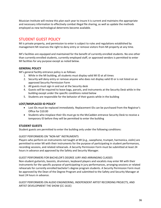Musician Institute will review this plan each year to insure it is current and maintains the appropriate and necessary information to effectively combat illegal file sharing, as well as update the methods employed as new technological deterrents become available.

## STUDENT GUEST POLICY

MI is private property, and permission to enter is subject to rules and regulations established by management MI reserves the right to deny entry or remove visitors from MI property at any time.

MI's facilities are equipped and maintained for the benefit of currently enrolled students. No one other than currently enrolled students, currently employed staff, or approved vendors is permitted to enter MI facilities for any purpose except as noted below.

#### **GENERAL POLICY**

MI's general facility entrance policy is as follows:

- 1. While in the MI building, all students must display valid MI ID at all times
- 2. Security will deny entry or remove anyone who does not display valid ID or is not listed on an approved Security Permission Form
- 3. All guests must sign in and out at the Security desk
- 4. Guests will be required to leave bags, parcels, and instruments at the Security Desk while in the building except under the specific conditions noted below
- 5. Students are responsible for the behavior of their guests while in the building

#### **LOST/MISPLACED ID POLICY**

- Lost IDs must be replaced immediately. Replacement IDs can be purchased from the Registrar's Office for \$10.00
- Students who misplace their IDs must go to the McCadden entrance Security Desk to receive a temporary ID before they will be permitted to enter the building

#### **STUDENT GUESTS**

Student guests are permitted to enter the building only under the following conditions:

#### GUEST PERFORMERS ON "NON-MI" INSTRUMENTS

Players who perform on instruments not taught at MI (e.g., saxophone, trumpet, harmonica, violin) are permitted to enter MI with their instruments for the purpose of participating in student performances, recording sessions, and related rehearsals. A Security Permission Form must be submitted at least 24 hours in advance and approved by the Safety and Security Manager.

#### GUEST PERFORMERS FOR BACHELOR'S DEGREE JURY AND ARRANGING CLASSES

Non-student guitarists, bassists, drummers, keyboard players and vocalists may enter MI with their instruments for the specific purpose of participating in jury performances, arranging sessions or related rehearsals for currently enrolled bachelor's degree program students. A Security Permission Form must be approved by the Dean of the Degree Program and submitted to the Safety and Security Manager at least 24 hours in advance.

GUEST PERFORMERS ON AUDIO ENGINEERING, INDEPENDENT ARTIST RECORDING PROJECTS, AND ARTIST DEVELOPMENT THE SHOW (CC-161E)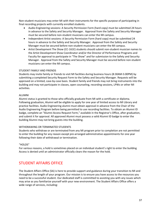Non-student musicians may enter MI with their instruments for the specific purpose of participating in final recording projects with currently enrolled students.

- Audio Engineering sessions: A Security Permission Form (hard copy) must be submitted 24 hours in advance to the Safety and Security Manager. Approval from the Safety and Security Manager must be secured before non-student musicians can enter the MI campus.
- Independent Artist sessions: A Security Permission Form (hard copy) must be submitted 24 hours in advance to the Safety and Security Manager. Approval from the Safety and Security Manager must be secured before non-student musicians can enter the MI campus.
- Artist Development The Show (CC-161E) students should submit non-student musician names to the Artist Development Show Coordinator and/or the Director of Performance Programs and Faculty for approval to participate in "The Show" and for submission to the Safety and Security Manager. Approval from the Safety and Security Manager must be secured before non-student musicians can enter the MI campus.

#### STUDENT FAMILY AND FRIENDS

Students may invite family or friends to visit MI facilities during business hours (8:30AM-5:00PM) by submitting a completed Security Request Form to the Safety and Security Manager. Requests will be approved on a limited, case-by-case basis. Student family and friends may not bring instruments into the building and may not participate in classes, open counseling, recording sessions, LPWs or other MI activities.

#### ALUMNI

Alumni status is granted to those who officially graduate from MI with a certificate or diploma. Following graduation, Alumni will be eligible to apply for one year of limited access to MI Library and practice facilities. Audio Engineering alumni must obtain approval in advance from the Chair of the Audio Engineering Program before being permitted to use recording facilities. To obtain an Alumni ID badge, complete an "Alumni Access Request Form," available in the Registrar's Office, after graduation, and submit it for approval. All approved Alumni must possess a valid Alumni ID badge to enter the building Alumni may not bring guests into the building.

#### WITHDRAWING OR TERMINATED STUDENTS

Students who withdraw or are terminated from any MI program prior to completion are not permitted to enter the building for any reason except pre-arranged administrative appointments for one year following their date of withdrawal or termination.

#### "HOLDS"

For various reasons, a hold is sometimes placed on an individual student's right to enter the building Access is denied until an administrator officially clears the reason for the hold.

## STUDENT AFFAIRS OFFICE

The Student Affairs Office (SA) is here to provide support and guidance during your transition to MI and throughout the length of your program. Our mission is to ensure you have access to the resources you need to be a successful student. Our dedicated staff is committed to assisting you with any issues which may arise as you familiarize yourself with your new environment. The Student Affairs Office offers a wide range of services, including: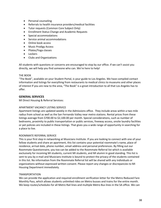- Personal counseling
- Referrals to health insurance providers/medical facilities
- Tutor requests (Common Core Subject Only)
- Enrollment Status Change and Academic Requests
- Special accommodations
- Service animal accommodations
- Online book access
- Music Prodigy Access
- Pilates/Yoga classes
- Lockers
- Clubs and Organizations

All students with questions or concerns are encouraged to stop by our office. If we can't assist you directly, we will help you find someone who can. We're here to help!

#### THE BOOK

"The Book", available on your Student Portal, is your guide to Los Angeles. We have compiled contact information and listings for everything from restaurants to medical clinics to museums and other places of interest If you are new to the area, "The Book" is a great introduction to all that Los Angeles has to offer.

#### **GENERAL SERVICES**

MI Direct Housing & Referral Services:

#### APARTMENT VACANCY LISTING SERVICE

Apartment listings are updated weekly in the Admissions office. They include areas within a two mile radius from school as well as the San Fernando Valley near metro stations. Rental prices from these listings average from \$700.00 to \$2,100.00 per month. Special considerations, such as number of bedrooms, proximity to public transportation or public services, freeway access, onsite laundry facilities or pet policies are included in these listings. That gives you a wide range of opportunity in searching for a place to live.

#### ROOMMATE REFERRAL SERVICE

This is your first step in networking at Musicians Institute. If you are looking to connect with one of your fellow students and share an apartment, this list contains your potential roommate's name, place of residence, arrival date, phone number, email address and personal preferences. By filling out our Roommate Questionnaire, you too can be added to the Roommate Referral list which is available exclusively for incoming MI students, current MI students, and MI alumni in good standing. This list is sent to you by e-mail and Musicians Institute is bound to protect the privacy of the students contained in this list. No information from the Roommate Referral list will be shared with any individuals or organizations without expressed written consent. Please report any changes or discrepancies to MI Housing Department immediately.

#### TRANSPORTATION

We can provide the application and required enrollment verification letter for the Metro Reduced Fare Monthly Pass, which allows students unlimited rides on Metro busses and trains for the entire month. We keep routes/schedules for all Metro Rail lines and multiple Metro Bus lines in the SA office. We can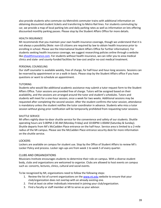also provide students who commute via Metrolink commuter trains with additional information on obtaining discounted student tickets and transferring to Metro Rail lines. For students commuting by car, we provide a map of local parking lots and daily parking rates as well as information on lots offering discounted monthly parking passes. Please stop by the Student Affairs Office for more details.

#### HEALTH INSURANCE

MI recommends that you maintain your own health insurance coverage, though we understand that it is not always a possibility (Note: non-US citizens are required by law to obtain health insurance prior to enrolling in school. Please see the International Student Affairs Office for further information). For students seeking health insurance coverage, we suggest researching policies online through a website like ehealthinsurance.com. For students without health insurance, we can refer you to area medical clinics and state- and county-funded facilities for low-cost and/or no-cost medical treatment.

#### PERSONAL COUNSELING

Our staff counselor is available weekly, free of charge, for half-hour and hour-long sessions. Sessions can be reserved by appointment or on a walk-in basis. Please stop by the Student Affairs office if you have questions or want to schedule an appointment.

#### TUTORING

Students who would like additional academic assistance may submit a tutor request form to the Student Affairs Office. Tutor sessions are provided free of charge. Tutors will be assigned based on their availability, and the sessions are arranged around the tutor and student's schedules. Tutors and students will meet for a one-hour session, once a week for two weeks. Additional sessions may be requested after completing the second session. After the student confirms the tutor session, attendance is mandatory unless the student notifies the tutor coordinator in advance. Students who miss a tutor session without giving prior notification will be temporarily prohibited from requesting tutor sessions.

#### SHUTTLE SERVICE

MI offers nightly door-to-door shuttle service for the convenience and safety of our students. Shuttle operating hours are 5:00PM-2:30 AM (Monday-Friday) and 10:00PM-1:00AM (Saturday & Sunday). Shuttle departs from MI's McCadden Place entrance on the half-hour. Service area is limited to a 2-mile radius of the MI campus. Please see the McCadden Place entrance security desk for more information on the shuttle service.

#### LOCKERS

Lockers are available on campus for student use. Stop by the Office of Student Affairs to review MI's Locker Policy and process. Locker sign-ups are from week 1 to week 5 of every quarter.

#### CLUBS AND ORGANIZATIONS

Musicians Institute encourages students to determine their role on campus. With a diverse student body, clubs and organizations are welcomed to organize. Clubs are allowed to host events on campus such as: concerts, lectures, clinics, cultural and social events.

To be recognized by MI, organizations need to follow the following steps:

- 1. Review the list of current organizations on the www.mi.edu website to ensure that your club/organization does not overlap with an already existing one.
- 2. Find at least six other individuals interested in joining your club/organization.
- 3. Find a faculty or staff member at MI to serve as your advisor.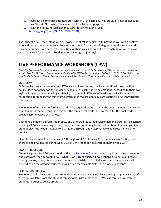- 4. Figure out a name that does NOT start with MI. For example, "MI Jazz Club" is not allowed, but "Jazz Club at MI" is okay. The name should reflect your purpose.
- 5. Fill out the following Application & Constitution form on MI.edu (https://goo.gl/forms/8PY5Bux93S6kM1Pl2)

The Student Affairs staff, along with everyone else at MI, is dedicated to providing you with a healthy, safe and productive experience while you're in school. Thousands of MI graduates all over the world look back on their time here as the best time of their lives, and we will do everything we can to make sure that's true for you, too. Good luck and have a great journey!

# **LIVE PERFORMANCE WORKSHOPS (LPW)**

*Note: The following information applies to on-campus programs. In the MI Online program, LPWs are structured as a normal weekly class. The MI Online LPWs are named with the suffix "ON" within the student schedule (i.e., CC-013G-ON.1 is the course code for the first quarter Guitar LPW course for the MI Online student). Please refer to the course syllabus for details.*

#### OVERVIEW

MI's Live Performance Workshops (LPWs) are a unique offering. Unlike a traditional class, the LPW course does not appear on the student's schedule, as each student selects songs according to their own stylistic interests and scheduling availability. A variety of LPWs are offered weekly. Each student is responsible for fulfilling the minimum performance requirements by participating in LPWs throughout the quarter.

A minimum of ten LPW performance credits are required per quarter. In the event a student earns more than ten performance credits in a quarter, the ten highest grades are averaged for the final grade. There are no exams involved with LPWs.

Each time a student performs at an LPW, one LPW credit is earned. More than one credit can be earned in a single LPW class meeting, but no more than one credit may be earned per hour. For example, if a student plays the Modern Rock LPW at 3:20pm, 3:30pm, and 4:20pm, they would receive two LPW credits.

LPW classes are scheduled from week 1 through week 10. As week 11 is the final exam/testing week, there are no LPW classes during week 11. No LPW credits can be awarded during week 11.

#### SIGNUP PROCEDURE

Student sign-ups for LPWs are found on the mobile.mi.edu. Students are to log in with their username and password, then go to ALL LPW> WI2021 (or current quarter) LPW Sections. Students can browse through weeks, songs, hours and supplemental materials (charts, lyrics and music-minus-one tracks) depending on the offering. Students may sign up for available slots up to a week in advance.

#### FOR ON CAMPUS LPWs:

Students can also "walk-in" to an LPW without signing up in advance by attending the physical class. If there are available slots, the student can perform. Instructors of the LPW class can sign up "walk-in" students in order to award credit.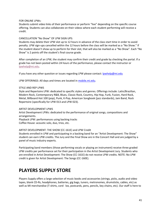FOR ONLINE LPWs:

Students submit video links of their performance or perform "live" depending on the specific course offering. Students can also collaborate on their videos where each student performing will receive a credit.

CANCELLATION "No Show" OF LPW SIGN UPS:

Students may delete their LPW slot up to 12 hours in advance of the class start time in order to avoid penalty. LPW sign-ups cancelled within the 12 hours before the class will be marked as a "No Show." If the student doesn't show up to perform for their slot, that will also be marked as a "No Show". Each "No Show" is 2 points off the student's final course grade.

After completion of an LPW, the student may confirm their credit and grade by checking the portal. If a grade has not been posted within 24 hours of the performance, please contact the instructor or lpwhelp@mi.edu.

If you have any other question or issues regarding LPW please contact: *lpwhelp@mi.edu* 

LPW OFFERINGS: All days and times are located in mobile.mi.edu.

#### STYLE AND REP LPWS

Style and Repertoire LPW: dedicated to specific styles and genres. Offerings include: Latin/Brazilian, Modern Rock, Contemporary R&B, Blues, Classic Rock, Country, Hip Hop, Funk, Fusion, Hard Rock, Metal, Billboard Hot 100 (pop), Punk, K-Pop, American Songbook (jazz standards), Jam Band, Rock Repertoire (specifically for LPW 013 and LPW 023).

#### ARTIST DEVELOPMENT LPWS

Artist Development LPWs: dedicated to the performance of original songs, compositions and arrangements.

Playback LPW: performances using backing tracks

Coffee House: acoustic solo, duo, trios, etc.

#### ARTIST DEVELOPMENT: THE SHOW (CC-161E) and LPW Credit

Students enrolled in LPW and participating in a backing band for an "Artist Development: The Show" student can earn LPW credits. The Jury and the Final Show are in the Concert Hall and are judged by a panel of music industry experts.

Participating band members (those performing vocals or playing an instrument) receive three graded LPW credits per performance set for their participation in the Artist Development Jury. Students who are enrolled in Artist Development: The Show (CC-161E) do not receive LPW credits. NOTE: No LPW credit is given for Artist Development: The Songs (CC-160E).

# **PLAYERS SUPPLY STORE**

Players Supply offers a large selection of music books and accessories (strings, picks, audio and video tapes, blank CD-Rs, headphones, batteries, gig bags, tuners, metronomes, drumsticks, cables, etc) as well as MI merchandise (T-shirts, cord lox, postcards, pens, pencils, key chains, etc). Our staff is here to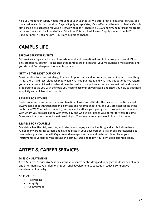help you meet your supply needs throughout your year at MI. We offer great prices, great service, and the latest available merchandise. Players Supply accepts Visa, MasterCard and traveler's checks. Out-ofstate checks are accepted for your first two weeks only. There is a \$10.00 minimum purchase for credit cards and personal checks and official MI school ID is required. Players Supply is open from M-Th 9:00am-7pm; Fri 9:00am-6pm (Hours are subject to change).

# **CAMPUS LIFE**

#### **SPECIAL STUDENT EVENTS**

MI provides a regular schedule of entertainment and recreational events to make your stay at MI not only productive, but fun! Please check the campus bulletin boards, your MI student e-mail address and you student Portal regularly for events updates.

#### **GETTING THE MOST OUT OF MI**

Musicians Institute is a veritable gold mine of opportunity and information, and as it is with most things in life, there is a direct relationship between what you put into it and what you get out of it. We regard you as a mature individual who has shown the desire to make it as a creative professional, and we are prepared to equip you with the tools you need to accomplish your goals and show you how to get there as quickly and efficiently as possible.

#### **RESPECT FOR OTHERS**

Professional success comes from a combination of skills and attitude. The best opportunities almost always come about through personal contacts and recommendations, and you are establishing those contacts NOW. Your fellow students, teachers and staff are your peer group—professional musicians with whom you are associating with every day and who will influence your career for years to come. Make sure that your conduct speaks well of you. Treat everyone as you would like to be treated.

#### **RESPECT FOR YOURSELF**

Maintain a healthy diet, exercise, and take time to enjoy a social life. Drug and alcohol abuse have ruined many promising careers and have no place in your development as a serious professional. Set reasonable goals for yourself. Organize and manage your time and materials. Don't leave your instruments or valuables lying around the campus. Use and follow your own good common sense.

# **ARTIST & CAREER SERVICES**

#### **MISSION STATEMENT**

Artist & Career Services (ACS) is an extensive resource center designed to engage students and alumni and offer them active professional & personal development to succeed in today's competitive entertainment industry.

CORE VALUES

- Networking
- Integrity
- Commitment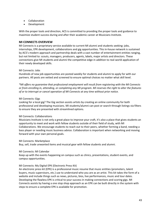- Collaboration
- Development

With the proper tools and direction, ACS is committed to providing the proper tools and guidance to maximize student success during and after their academic career at Musicians Institute.

#### **MI CONNECTS OVERVIEW**

MI Connects is a proprietary service available to current MI alumni and students seeking: jobs, internships, EPK development, collaborations and gig opportunities. This in-house network is sustained by ACS's modern approach and partnership deals with a vast number of entertainment entities ranging, but not limited to: scouts, managers, producers, agents, labels, major artists and directors. These connections give MI students and alumni the competitive edge in addition to real-world application of their newly developed skills.

#### MI Connects: Jobs

Hundreds of new job opportunities are posted weekly for students and alumni to apply for with our partners. All posts are vetted and screened to ensure optimal choices no matter what skill level.

*\*MI offers no guarantee that professional employment will result from registering with the MI Connects or from enrolling in, attending, or completing any MI program. MI reserves the right to alter the features of or to interrupt or cancel operation of MI Connects at any time without prior notice.*

#### MI Connects: Gigs

Looking for a local gig? The Gig section assists artists by creating an online community for both professional and developing musicians. MI students/alumni can post or search through listings via filters to ensure they are presented with streamlined options.

#### MI Connects: Collaborations

Musicians Institute is not only a great place to improve your craft, it's also a place that gives students an opportunity to meet and work with fellow students outside of their field of study, with MI Collaborations. We encourage students to reach out to their peers, whether forming a band, needing a bass player or needing music business advice. Collaboration is important when networking and moving forward with your own personal goals.

MI Connects: Marketplace

Buy, sell, trade unwanted items and musical gear with fellow students and alumni.

#### MI Connects: MI Calendar

Keep up with the events happening on campus such as clinics, presentations, student events, and campus opportunities.

#### MI Connects: My Digital EPK (Electronic Press Kit)

An electronic press kit (EPK) is a professional music resume that music entities (promoters, talent buyers, music supervisors, etc.) use to understand who you are as an artist. This kit takes the form of a website and include things such as news, pictures, bios, live performances, music and tour dates. Developing the flawless EPK is critical to your success in making connections and scoring gigs. MI Connects assists by having a one stop shop approach as an EPK can be built directly in the system with steps to ensure a complete EPK is available for promotion.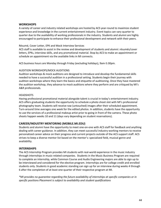#### **WORKSHOPS**

A variety of career and industry related workshops are hosted by ACS year-round to maximize student experience and knowledge in the current entertainment industry. Event topics can vary quarter to quarter due to the availability of working professionals in the industry. Students and alumni are highly encouraged to participate to enhance their professional development and network with their peers.

#### Résumé, Cover Letter, EPK and Mock Interview Services

ACS staff is available to assist in the review and development of students and alumni: résumés/cover letters, EPKs, interview skills, and any promotional material. Stop by ACS to make an appointment or schedule an appointment via the available links in MI connects.

ACS business hours are Monday through Friday (excluding holidays), 9am-5:30pm.

#### AUDITION WORKSHOPS/MOCK AUDITIONS

Audition workshops & mock auditions are designed to introduce and develop the fundamental skills needed to have a successful audition in a professional setting. Students begin their journey with audition workshops where they learn the basics and etiquette of auditioning. Once they have mastered the audition workshop, they advance to mock auditions where they perform and are critiqued by MI's A&R professionals.

#### **HEADSHOTS**

Having professional promotional material alongside talent is crucial in today's entertainment industry. ACS offers graduating students the opportunity to schedule a photo shoot slot with MI's professional photography team. Students will receive raw (untouched) images after their scheduled appointment. Turn-around time averages one week for the edited photos. In addition, students have the opportunity to use the services of a professional makeup artist prior to going in front of the camera. These photo shoots happen weeks 10 and 11 (days vary depending on student reservations).

#### **CAREER/INDUSTRY MENTORING (MOBILE.MI.EDU)**

Students and alumni have the opportunity to meet one-on-one with ACS staff for feedback and anything dealing with career guidance. In addition, they can meet successful industry-working mentors to receive personalized career advice on their progress and current projects outside of the ACS support staff. ACS strives to keep a diverse mentor list based on the mentor's: specialized field, musical genre and availability.

#### **INTERNSHIPS**

The ACS Internship Program provides MI students with real-world experience in the music industry through internships in music-related companies. Students in the Music Business Program are required to complete an internship, while Common Course and Audio Engineering majors are able to sign up to be interviewed and considered for the elective program. Internships are for college credit and enrolled students only. Students in good academic standing can sign up for an interview during weeks 4 through 6 after the completion of at least one quarter of their respective program at MI.

*\*MI provides no guarantee regarding the future availability of internships at specific companies or in specific positions Placement is subject to availability and student qualifications*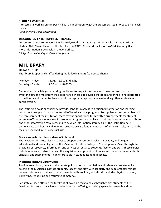#### **STUDENT WORKERS**

Interested in working on campus? Fill out an application to get the process started in Weeks 1-4 of each quarter.

*\*Employment is not guaranteed*

#### **DISCOUNTED ENTERTAINMENT TICKETS**

Discounted tickets to Universal Studios Hollywood, Six Flags Magic Mountain & Six Flags Hurricane Harbor, AMC Movie Theatres, The Taxi Rally, ASCAP "I Create Music Expo," NAMM, Grammy U, etc., more information is available in the ACS office.

*\*Subject to availability and while supplies last*

## **MI LIBRARY**

#### **LIBRARY HOURS**

The library is open and staffed during the following hours (subject to change):

| Monday – Friday   | 8:30AM - 12:00 Midnight |
|-------------------|-------------------------|
| Saturday – Sunday | 12:00 Noon - 8:00PM     |

Remember that while you are using the library to respect the space and the other users so that everyone gets the most from their experience. Please be advised that food and drink are not permitted in the library and that noise levels should be kept at an appropriate level--taking other students into consideration.

The institution holds or otherwise provides long-term access to sufficient information and learning resources to support its purposes and all of its educational programs. To supplement resources beyond the core library of the institution, there may be specific long term written arrangements for student access to off-campus or electronic resources. Programs are in place to train students in the use of library and other information resources, and to develop information literacy skills. The institution must demonstrate that library and learning resource use is a fundamental part of all its curricula, and that the faculty is involved in ensuring such use.

#### **Musicians Institute Library Mission Statement**

The Musicians Institute Library strives to support the comprehensive, innovative, and unique educational and research goals of the Musicians Institute College of Contemporary Music through the providing of resources, information, and services essential to students, faculty, and staff. These services include reference, instruction, and the acquisition and provision of online and in-house materials both scholarly and supplemental in an effort to aid in student academic success.

#### **Musicians Institute Library Goals**

Provide exceptional, timely, and accurate point of contact circulation and reference services while assisting the Musicians Institute students, faculty, and staff with scholarly and supplemental remote research via online databases and archives, interlibrary loan, and also through the physical locating, borrowing, requesting and returning of materials.

Facilitate a space offering the forefront of available technologies through which students of the Musicians Institute may achieve academic success offering an inviting space for research and the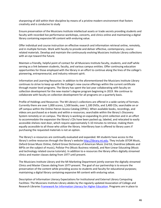sharpening of skill within their discipline by means of a pristine modern environment that fosters creativity and is conducive to study

Ensure preservation of the Musicians Institute intellectual assets or trade secrets providing students and faculty with recorded live performance workshops, concerts, and clinics online and maintaining a digital library containing expansive MI content with enduring value.

Offer individual and course instruction on effective research and information retrieval online, remotely, and in multiple formats. Work with faculty to provide and deliver effective, contemporary, course related materials. Develop and maintain the continuously evolving Musicians Institute Library collections with an eye toward the future.

Maintain a friendly, helpful point of contact for all Musicians Institute faculty, students, and staff while serving as a link between students, faculty, and various campus entities. Offer continuing education opportunities for those employed with the library in an effort to continue along the lines of the college's pioneering, entrepreneurial, and industry relevant spirit.

Information and Learning Resources: In addition to the aforementioned the Musicians Institute Library continues to strive to keep up with the College's new course offerings within the current certificate through master level programs. The library has spent the last year collaborating with faculty on collection development for the new master's degree program beginning in 2019. We continue to collaborate with faculty on collection development for all programs on a quarterly basis.

Profile of Holdings and Resources: The MI Library's collections are offered in a wide variety of formats. Currently there are over 1,000 scores, 1,500 books, over 1,100 DVDs, and 3,400 CDs; searchable on or off campus within the Online Patron Access Catalog (OPAC). When available books, recordings, and videos are purchased as e-books and within e-resources; searchable within the library's Discovery System remotely or on campus. The library is working on expanding its print collection and in an effort to accommodate the expansion the library's CDs have been packed up, labeled, and relocated to easily accessible shelves next door, which require approximately 5-10 minutes to retrieve; making them equally accessible to all those who utilize the library. Interlibrary loan is offered to library users if purchasing the requested materials is not an option.

The library's e-resources are continually evaluated and expanded. MI students have access to the library's online resources through the library's website http://library.mi.edu. They include JSTOR Music, Oxford Grove Music Online, Oxford Grove Dictionary of American Music 2nd Ed, Overdrive (eBooks and MP3s on the subject of music), Pollstar Pro (Music Business related), and Non-Linear Educating (Music and technology related course tutorials). In addition to e-resources the library offers digitally streamed clinics and master classes dating from 1977 until present.

The Musicians Institute Library and the MI Marketing Department jointly oversee the digitally streamed Clinics and Master Classes dating from 1977-present. The goal of our partnership is to ensure the preservation of the content while providing access to students and faculty for educational purposes; maintaining a digital library containing expansive MI content with enduring value.

Description of Information Literacy Expectations for Institutional and External Library Computing Facilities: The Musicians Institute Library abides by the regularly updated Association of College and Research Libraries Framework for Information Literacy for Higher Education. Programs are in place to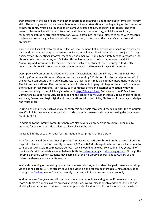train students in the use of library and other information resources, and to develop information literacy skills. These programs include a research as inquiry library orientation at the beginning of the quarter for all new students, which also touches on off campus access and how to log into databases. The third week of classes invites all students to attend a student appreciation day, which includes library resources searching as strategic exploration. We also stop into individual classes to assist with research projects and relay the gravitas of authority construction, context, and the creator's expertise and credibility.

Curricula and Faculty Involvement in Collection Development: Collaboration with faculty on a quarterly basis and throughout the quarter assists the library in building collections within each subject. Through quarterly faculty meetings, informal meetings, and email we're able to facilitate feedback regarding the library's collections, services, and facilities. Through orientations, collaborative events with MI Marketing, and information literacy outreach and instruction students are encouraged to directly contact the library with collection development requests and requests for specific materials.

Descriptions of Computing Facilities and Usage: The Musicians Institute Library offers 85 Macintosh Desktop Computer stations and 25 practice stations totaling 110 stations for study and practice. 40 of the desktop computers offer audio interfaces, so that students may plug in their instrument to practice. The 25 practice stations offer multi-effects units for students to plug into to practice, and 45 computers offer a quieter research and study space. Each computer offers and internet connection with web browsers opening to the MI Library's website of http://library.mi.edu Software on the 85 Macintosh Computers in support of music, academics, and the school's curriculum includes Sibelius music notation software, Reason and Logic digital audio workstations, Microsoft Suite, Photoshop for media and design, and much more.

During high volume use such as study for midterms and finals throughout the fall quarter the computers are 90% full. During low volume periods outside of the fall quarter and study for testing the computers are 40-60% full.

In addition to the library's computers there are also several computer labs on campus available to students for use 24-7 outside of classes taking place in the labs.

Please talk to the circulation desk for information about printing at the Library.

Plan for Library and Computer Development: The Musicians Institute Library is in the process of building its print collection, which is currently between 7,000 and 8,000 cataloged materials. We will continue to catalog approximately 1500 materials per year, which would double our collection in five years. All of the library's print materials are searchable in both the online catalog and discovery system. Through the library's discovery system students may search all of the MI Library's scores, books, CDs, DVDs and online databases at once simultaneously.

We're also working on recataloging our clinics, master classes, and student live performance workshop video dating back to 1977 to stream sound and video on and off campus through LDAP authentication through our Avalon system. They're currently cataloged within an on-campus system only.

Within the next five years we will continue to evaluate our online catalog to see if there is a catalog more suitable to our goals as we grow as an institution. We will also look into additional shelving and shelving locations as we continue to grow our physical collection. Should loss become an issue with a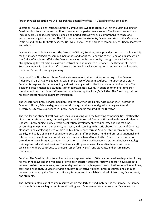larger physical collection we will research the possibility of the RFID tagging of our collection.

Location: The Musicians Institute Library's Campus Hollywood location is within the Main Building of Musicians Institute on the second floor surrounded by performance rooms. The library's collections include scores, books, recordings, videos, and periodicals; as well as a comprehensive range of eresources and digital resources. The MI Library serves the students, faculty, and staff of the Musicians Institute and the Guitar Craft Academy Nashville, as well as the broader community; visiting researchers and scholars.

Governance and Administration: The Director of Library Services, MLS, provides direction and leadership for the library's collections, services, personnel, and facilities. Reporting to the Dean of Industry within the Office of Academic Affairs, the Director engages the MI community through outreach efforts, strengthening the collection, classroom instruction, and research assistance. The Director of Library Services meets with the Director's team once per week, each Monday, to better involve the library in the school's overall strategic planning.

Personnel: The Director of Library Services is an administrative position reporting to the Dean of Industry / Chair of Audio Engineering within the Office of Academic Affairs. The Director of Library Services is responsible for developing and maintaining music collections in a variety of formats. The position directly manages a student staff of approximately twenty in addition to one full-time staff member and two part time staff members administering the library's facilities. The Director provides research assistance and classroom instruction.

The Director of Library Services position requires an American Library Association (ALA) accredited Master of Library Science degree and a music background. A second graduate degree in music is preferred. Extensive experience in library management is required of the Director.

The regular and student staff positions include assisting with the following responsibilities: staffing the circulation / reference desk, cataloging within a MARC record format, CSS based website and calendar updates, library subject guide creation, collection development, weeding, tracking budget funds, accounting, equipment maintenance, outreach, and scanning MI historic photos to Library of Congress standards and cataloging them within a Dublin Core record format. Student staff receive monthly, weekly, and daily training and educational sessions. Staff members attend and present at national and international music library association conferences such as MLA and IAML. Students and staff also attend American Library Association, Association of College and Research Libraries, database, catalog trainings and educational sessions. The library staff operate in a collaborative team environment in which all members contribute to projects, assist faculty, staff, and students, and ensure smooth operations.

Services: The Musicians Institute Library is open approximately 100 hours per week each quarter closing for major holidays and the weekend prior to each quarter. Students, faculty, and staff have access to research assistance, reference, and general questions through in person consultations, email, telephone, text, and online chat. Course instruction on how to effectively utilize library resources and conduct research is taught by the Director of Library Services and is available to all administrators, faculty, staff, and students.

The library maintains print course reserves within regularly shelved materials in the library. The library works with faculty each quarter via email polling each faculty member to ensure our faculty course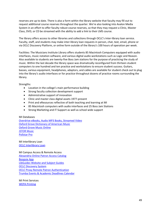reserves are up to date. There is also a form within the library website that faculty may fill out to request additional course reserves throughout the quarter. We're also looking into Avalon Media System in an effort to offer faculty robust course reserves, so that they may request a Clinic, Master Class, DVD, or CD be streamed with the ability to add a link to their LMS course.

The library offers access to other libraries and collections through OCLC's Inter-library loan service. Faculty, staff, and students may make inter-library loan requests in person, chat, text, email, phone or via OCLC Discovery Platform, or online form outside of the library's 100 hours of operation per week.

Facilities: The Musicians Institute Library offers students 85 Macintosh Computers equipped with audio interfaces, music notation software, and various digital audio workstations such as Logic and Reason. Also available to students are twenty-five Boss Jam stations for the purpose of practicing the study of music. Within the last decade the library space was dramatically reconfigured from thirteen student computers to one hundred and ten practice and workstations to ensure student success. Guitars, basses, various equipment, headphones, adaptors, and cables are available for student check out to plug into the library's audio interfaces or for practice throughout dozens of practice rooms surrounding the library.

Strengths:

- Location in the college's main performance building
- Strong faculty collection development support
- Administrative support of innovation
- Clinic and master class digital assets 1977-present
- Print and eResources reflective of both teaching and learning at MI
- 85 Macintosh computers with audio interfaces and 25 Boss Jam Stations
- Strong Marketing and IT Support as well as school wide support

MI Databases

Overdrive eBooks, Audio MP3 Books, Streamed Video Oxford Grove Dictionary of American Music Oxford Grove Music Online JSTOR Music Pollstar Pro

MI Interlibrary Loan OCLC Interlibrary Loan

MI Campus Access & Remote Access Alexandria Online Patron Access Catalog Boopsie App LibGuides Website and Subject Guides OCLC Discovery System OCLC Proxy Remote Patron Authentication Trumba Events & Academic Deadlines Calendar

MI Print Services WEPA Printing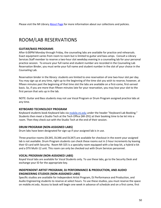Please visit the MI Library About Page for more information about our collections and policies.

# ROOM/LAB RESERVATIONS

#### **GUITAR/BASS PROGRAMS**

After 6:00PM Monday through Friday, the counseling labs are available for practice and rehearsals. Exact equipment varies from room to room but is limited to guitar and bass amps. Consult a Library Services Staff member to reserve a two-hour slot weekday evening in a counseling lab for your personal practice session. To ensure your full name and student number are recorded in the Counseling Lab Reservation Binder, you must write your full name and student number in the slot of your choice in the Counseling Lab.

Reservation binder in the library: students are limited to one reservation of one two-hour slot per day. You may sign up at any time, right up to the beginning of the time slot you wish to reserve; however, at fifteen minutes past the beginning of that time slot the labs are available on a first-come, first-served basis. So, if you are more than fifteen minutes late for your reservation, you may lose your slot to the first person that sets up in the lab.

NOTE: Guitar and Bass students may not use Vocal Program or Drum Program assigned practice labs at any time.

#### **KEYBOARD TECHNOLOGY PROGRAM**

Keyboard students book Keyboard labs via mobile.mi.edu under the header "Keyboard Lab Booking." Students then meet a Studio Tech at the Tech Office (MI-291) at their booking time to be let into a room. Then they check out with the Studio Tech at the end of their session.

#### **DRUM PROGRAM (NON-ASSIGNED LABS)**

Drum labs have been designated for sign-up if your assigned lab is in use.

Three practice rooms (DL345, DL346 and DL347) are available for checkout in the event your assigned lab is not available. Drum Program students can check these rooms out in 2-hour increments by leaving their ID card with Security. Room MI-325 is a specialty room equipped with a be-bop kit, a hybrid e-kit and a DTX Multi-12 unit. This room can only be checked out with Drum Services personnel.

#### **VOCAL PROGRAM (NON-ASSIGNED LABS)**

Keyed Vocal labs are available for Vocal Students only. To use these labs, go to the Security Desk and exchange your ID for the appropriate key.

#### **INDEPENDENT ARTIST PROGRAM, DJ PERFORMANCE & PRODUCTION, AND AUDIO ENGINEERING STUDIOS (NON-ASSIGNED LABS)**

Specific studios are available for Independent Artist Program, DJ Performance and Production, and Audio Engineering students to reserve at select hours. To use these studios, you must reserve the space on mobile.mi.edu. Access to book will begin one week in advance of schedule and on a first come, first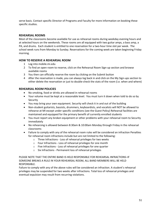serve basis. Contact specific Director of Programs and Faculty for more information on booking these specific studios.

#### **REHEARSAL ROOMS**

Most of the classrooms become available for use as rehearsal rooms during weekday evening hours and at selected hours on the weekends. These rooms are all equipped with two guitar amps, a bass amp, a PA, and drums. Each student is entitled to one reservation for a two-hour time slot per week. The school week runs from Monday to Sunday. Reservations for the coming week are taken beginning Friday morning.

#### **HOW TO RESERVE A REHEARSAL ROOM**

- 1 Log into mobile.mi.edu
- 2 To find an open room to reserve, click on the Rehearsal Room Sign-up section and browse available rooms
- 3 You then can officially reserve the room by clicking on the Submit button
- 4 After the reservation is made, you can always log back in and click on the My Sign-ups section to either delete the reservation or just to double-check the stats of the room (i.e. when and where)

#### **REHEARSAL ROOM POLICIES**

- No smoking, food or drinks are allowed in rehearsal rooms
- Your volume must be kept at a reasonable level. You must turn it down when told to do so by **Security**
- You may bring your own equipment. Security will check it in and out of the building
- Non-student guitarists, bassists, drummers, keyboardists, and vocalists will NOT be allowed to rehearse at MI except under specific conditions (see the Guest Policy) Rehearsal facilities are maintained and equipped for the primary benefit of currently enrolled students
- You must report any broken equipment or other problems with your rehearsal room to Security immediately
- No rehearsing is allowed between 8:30am & 10:00am Monday through Friday in the rehearsal classrooms
- Failure to comply with any of the rehearsal room rules will be considered an infraction Penalties for rehearsal room infractions include but are not limited to the following:
	- o Three Infractions Loss of rehearsal privileges for two weeks
	- o Four Infractions Loss of rehearsal privileges for one month
	- o Five Infractions Loss of rehearsal privileges for one quarter
	- o Six Infractions Permanent loss of rehearsal privileges

PLEASE NOTE THAT THE ENTIRE BAND IS HELD RESPONSIBLE FOR REHEARSAL INFRACTIONS–IF SOMEONE BREAKS A RULE IN YOUR REHEARSAL ROOM, ALL BAND MEMBERS WILL BE HELD RESPONSIBLE.

Failure to comply with any of the above rules will be considered an infraction. A student's rehearsal privileges may be suspended for two weeks after infractions. Total loss of rehearsal privileges and eventual expulsion may result from recurring violations.